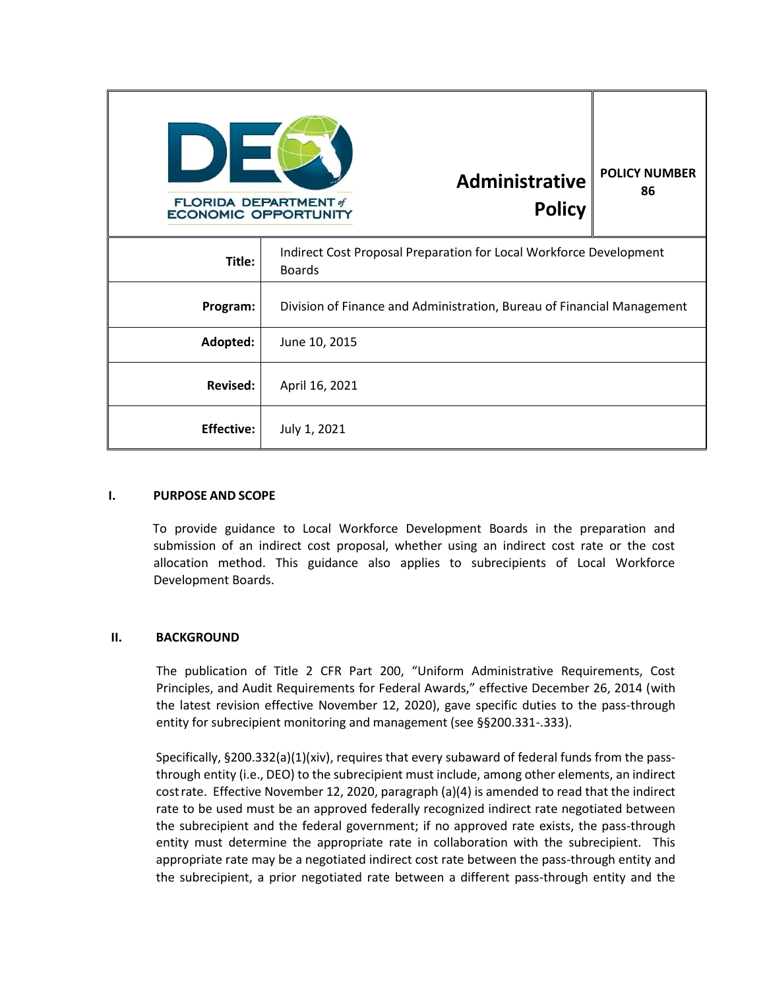| <b>FLORIDA DEPARTMENT of</b><br><b>ECONOMIC OPPORTUNITY</b> | <b>Administrative</b><br><b>Policy</b>                                              | <b>POLICY NUMBER</b><br>86 |
|-------------------------------------------------------------|-------------------------------------------------------------------------------------|----------------------------|
| Title:                                                      | Indirect Cost Proposal Preparation for Local Workforce Development<br><b>Boards</b> |                            |
| Program:                                                    | Division of Finance and Administration, Bureau of Financial Management              |                            |
| Adopted:                                                    | June 10, 2015                                                                       |                            |
| <b>Revised:</b>                                             | April 16, 2021                                                                      |                            |
| <b>Effective:</b>                                           | July 1, 2021                                                                        |                            |

## **I. PURPOSE AND SCOPE**

To provide guidance to Local Workforce Development Boards in the preparation and submission of an indirect cost proposal, whether using an indirect cost rate or the cost allocation method. This guidance also applies to subrecipients of Local Workforce Development Boards.

## **II. BACKGROUND**

The publication of Title 2 CFR Part 200, "Uniform Administrative Requirements, Cost Principles, and Audit Requirements for Federal Awards," effective December 26, 2014 (with the latest revision effective November 12, 2020), gave specific duties to the pass-through entity for subrecipient monitoring and management (see §§200.331-.333).

Specifically, §200.332(a)(1)(xiv), requires that every subaward of federal funds from the passthrough entity (i.e., DEO) to the subrecipient must include, among other elements, an indirect costrate. Effective November 12, 2020, paragraph (a)(4) is amended to read that the indirect rate to be used must be an approved federally recognized indirect rate negotiated between the subrecipient and the federal government; if no approved rate exists, the pass-through entity must determine the appropriate rate in collaboration with the subrecipient. This appropriate rate may be a negotiated indirect cost rate between the pass-through entity and the subrecipient, a prior negotiated rate between a different pass-through entity and the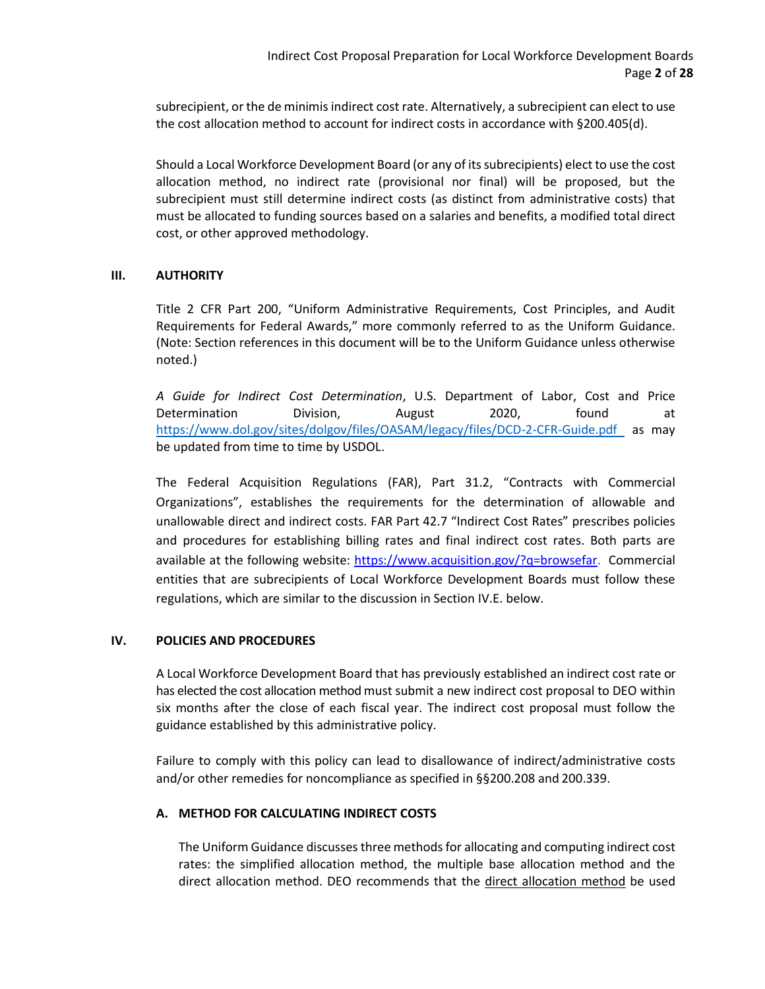subrecipient, or the de minimis indirect cost rate. Alternatively, a subrecipient can elect to use the cost allocation method to account for indirect costs in accordance with §200.405(d).

Should a Local Workforce Development Board (or any of its subrecipients) elect to use the cost allocation method, no indirect rate (provisional nor final) will be proposed, but the subrecipient must still determine indirect costs (as distinct from administrative costs) that must be allocated to funding sources based on a salaries and benefits, a modified total direct cost, or other approved methodology.

## **III. AUTHORITY**

Title 2 CFR Part 200, "Uniform Administrative Requirements, Cost Principles, and Audit Requirements for Federal Awards," more commonly referred to as the Uniform Guidance. (Note: Section references in this document will be to the Uniform Guidance unless otherwise noted.)

*A Guide for Indirect Cost Determination*, U.S. Department of Labor, Cost and Price Determination Division, August 2020, found [at](http://www.dol.gov/oasam/boc/DCD-2-CFR-Guid-Jan2015.pdf) [https://www.dol.gov/sites/dolgov/files/OASAM/legacy/files/DCD-2-CFR-Guide.pdf](http://www.dol.gov/oasam/boc/DCD-2-CFR-Guid-Jan2015.pdf) as may be updated from time to time by USDO[L.](http://www.dol.gov/oasam/boc/DCD-2-CFR-Guid-Jan2015.pdf)

The Federal Acquisition Regulations (FAR), Part 31.2, "Contracts with Commercial Organizations", establishes the requirements for the determination of allowable and unallowable direct and indirect costs. FAR Part 42.7 "Indirect Cost Rates" prescribes policies and procedures for establishing billing rates and final indirect cost rates. Both parts are available at the following website: [https://www.acquisition.gov/?q=browsefar.](https://www.acquisition.gov/?q=browsefar) Commercial entities that are subrecipients of Local Workforce Development Boards must follow these regulations, which are similar to the discussion in Section IV.E. below.

## **IV. POLICIES AND PROCEDURES**

A Local Workforce Development Board that has previously established an indirect cost rate or has elected the cost allocation method must submit a new indirect cost proposal to DEO within six months after the close of each fiscal year. The indirect cost proposal must follow the guidance established by this administrative policy.

Failure to comply with this policy can lead to disallowance of indirect/administrative costs and/or other remedies for noncompliance as specified in §§200.208 and 200.339.

## **A. METHOD FOR CALCULATING INDIRECT COSTS**

The Uniform Guidance discusses three methods for allocating and computing indirect cost rates: the simplified allocation method, the multiple base allocation method and the direct allocation method. DEO recommends that the direct allocation method be used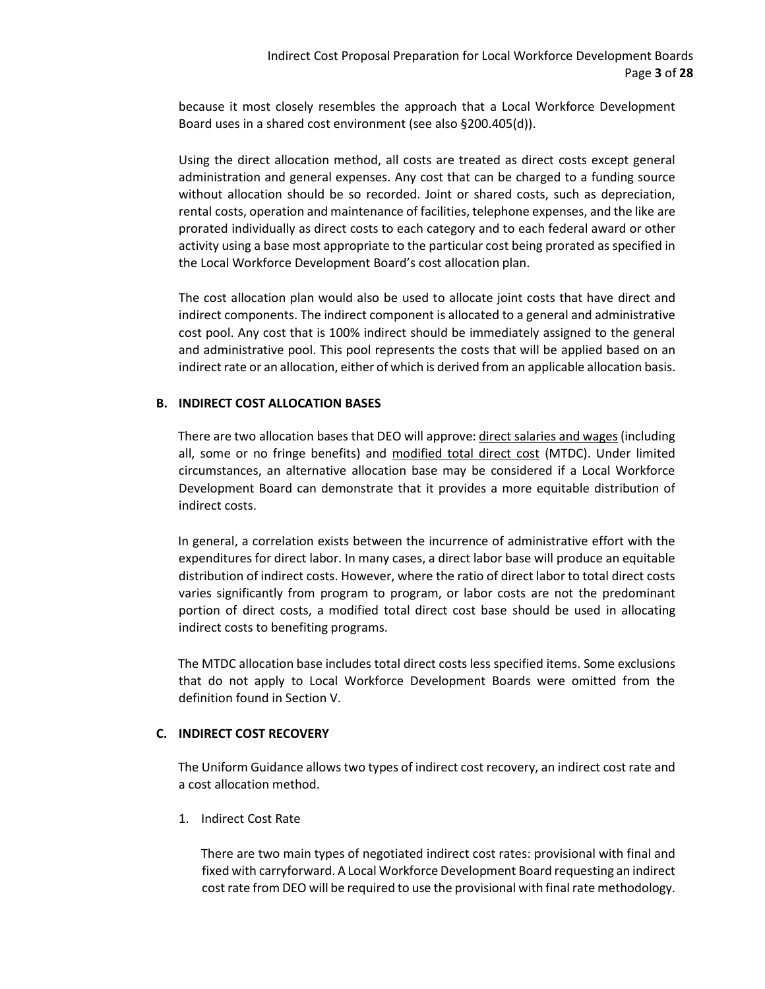because it most closely resembles the approach that a Local Workforce Development Board uses in a shared cost environment (see also §200.405(d)).

Using the direct allocation method, all costs are treated as direct costs except general administration and general expenses. Any cost that can be charged to a funding source without allocation should be so recorded. Joint or shared costs, such as depreciation, rental costs, operation and maintenance of facilities, telephone expenses, and the like are prorated individually as direct costs to each category and to each federal award or other activity using a base most appropriate to the particular cost being prorated as specified in the Local Workforce Development Board's cost allocation plan.

The cost allocation plan would also be used to allocate joint costs that have direct and indirect components. The indirect component is allocated to a general and administrative cost pool. Any cost that is 100% indirect should be immediately assigned to the general and administrative pool. This pool represents the costs that will be applied based on an indirect rate or an allocation, either of which is derived from an applicable allocation basis.

## **B. INDIRECT COST ALLOCATION BASES**

There are two allocation bases that DEO will approve: direct salaries and wages (including all, some or no fringe benefits) and modified total direct cost (MTDC). Under limited circumstances, an alternative allocation base may be considered if a Local Workforce Development Board can demonstrate that it provides a more equitable distribution of indirect costs.

In general, a correlation exists between the incurrence of administrative effort with the expenditures for direct labor. In many cases, a direct labor base will produce an equitable distribution of indirect costs. However, where the ratio of direct labor to total direct costs varies significantly from program to program, or labor costs are not the predominant portion of direct costs, a modified total direct cost base should be used in allocating indirect costs to benefiting programs.

The MTDC allocation base includes total direct costs less specified items. Some exclusions that do not apply to Local Workforce Development Boards were omitted from the definition found in Section V.

## **C. INDIRECT COST RECOVERY**

The Uniform Guidance allows two types of indirect cost recovery, an indirect cost rate and a cost allocation method.

1. Indirect Cost Rate

There are two main types of negotiated indirect cost rates: provisional with final and fixed with carryforward. A Local Workforce Development Board requesting an indirect cost rate from DEO will be required to use the provisional with final rate methodology.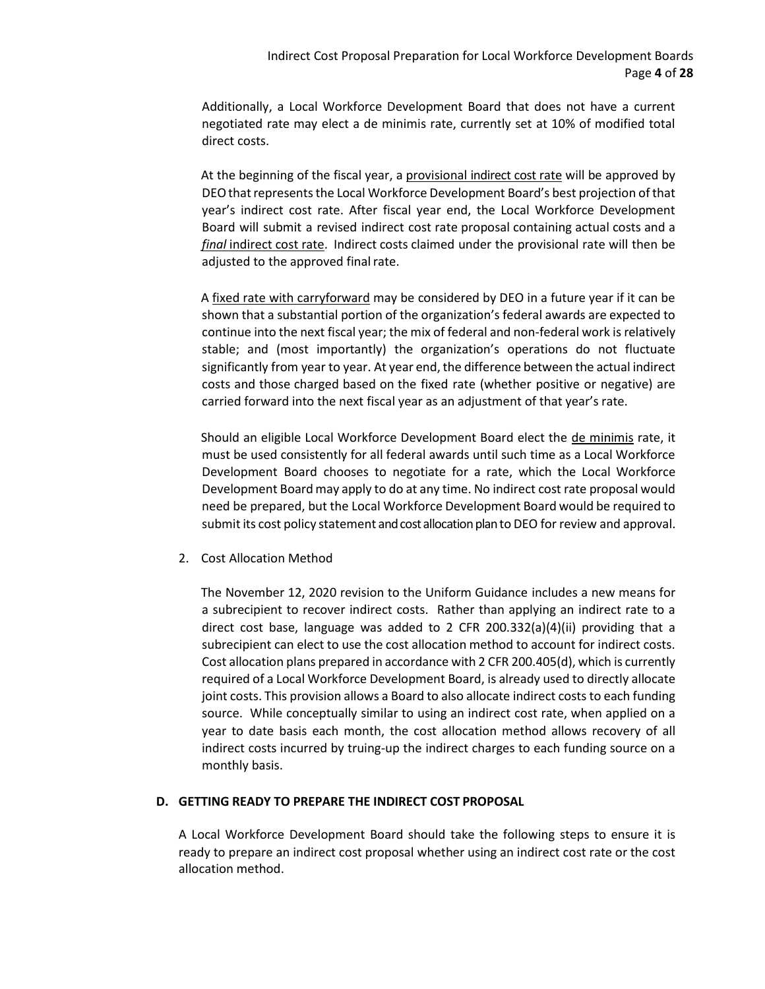Additionally, a Local Workforce Development Board that does not have a current negotiated rate may elect a de minimis rate, currently set at 10% of modified total direct costs.

At the beginning of the fiscal year, a provisional indirect cost rate will be approved by DEO that represents the Local Workforce Development Board's best projection of that year's indirect cost rate. After fiscal year end, the Local Workforce Development Board will submit a revised indirect cost rate proposal containing actual costs and a *final* indirect cost rate. Indirect costs claimed under the provisional rate will then be adjusted to the approved final rate.

A fixed rate with carryforward may be considered by DEO in a future year if it can be shown that a substantial portion of the organization's federal awards are expected to continue into the next fiscal year; the mix of federal and non-federal work is relatively stable; and (most importantly) the organization's operations do not fluctuate significantly from year to year. At year end, the difference between the actual indirect costs and those charged based on the fixed rate (whether positive or negative) are carried forward into the next fiscal year as an adjustment of that year's rate.

Should an eligible Local Workforce Development Board elect the de minimis rate, it must be used consistently for all federal awards until such time as a Local Workforce Development Board chooses to negotiate for a rate, which the Local Workforce Development Board may apply to do at any time. No indirect cost rate proposal would need be prepared, but the Local Workforce Development Board would be required to submit its cost policy statement and cost allocation plan to DEO for review and approval.

2. Cost Allocation Method

The November 12, 2020 revision to the Uniform Guidance includes a new means for a subrecipient to recover indirect costs. Rather than applying an indirect rate to a direct cost base, language was added to 2 CFR 200.332(a)(4)(ii) providing that a subrecipient can elect to use the cost allocation method to account for indirect costs. Cost allocation plans prepared in accordance with 2 CFR 200.405(d), which is currently required of a Local Workforce Development Board, is already used to directly allocate joint costs. This provision allows a Board to also allocate indirect costs to each funding source. While conceptually similar to using an indirect cost rate, when applied on a year to date basis each month, the cost allocation method allows recovery of all indirect costs incurred by truing-up the indirect charges to each funding source on a monthly basis.

## **D. GETTING READY TO PREPARE THE INDIRECT COST PROPOSAL**

A Local Workforce Development Board should take the following steps to ensure it is ready to prepare an indirect cost proposal whether using an indirect cost rate or the cost allocation method.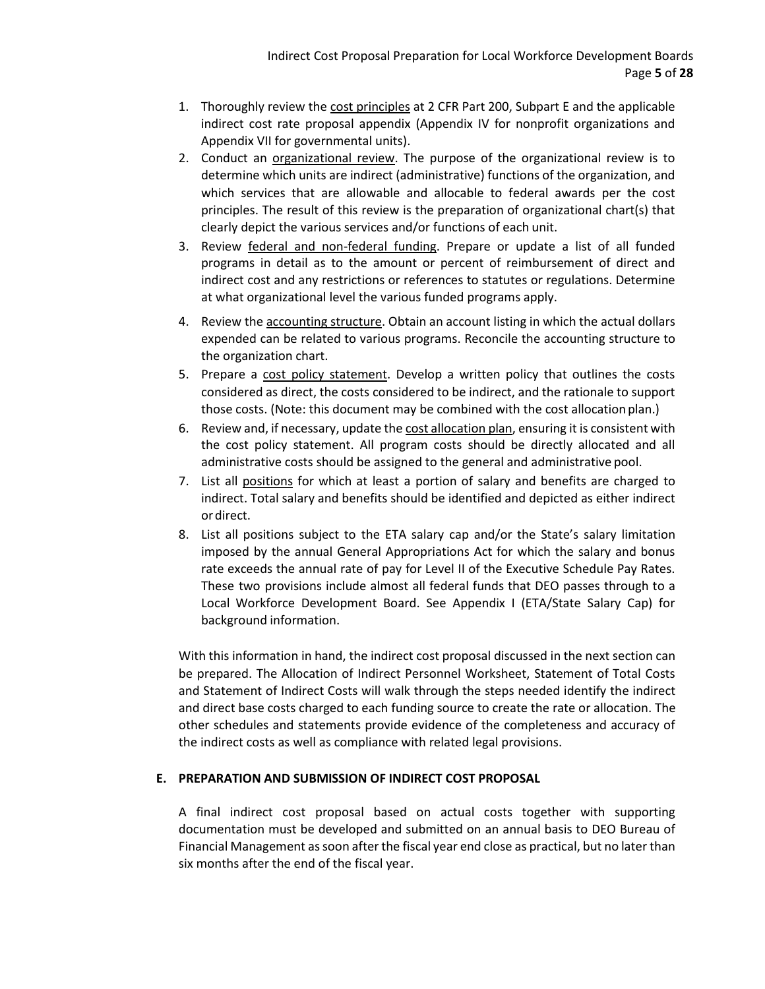- 1. Thoroughly review the cost principles at 2 CFR Part 200, Subpart E and the applicable indirect cost rate proposal appendix (Appendix IV for nonprofit organizations and Appendix VII for governmental units).
- 2. Conduct an organizational review. The purpose of the organizational review is to determine which units are indirect (administrative) functions of the organization, and which services that are allowable and allocable to federal awards per the cost principles. The result of this review is the preparation of organizational chart(s) that clearly depict the various services and/or functions of each unit.
- 3. Review federal and non-federal funding. Prepare or update a list of all funded programs in detail as to the amount or percent of reimbursement of direct and indirect cost and any restrictions or references to statutes or regulations. Determine at what organizational level the various funded programs apply.
- 4. Review the accounting structure. Obtain an account listing in which the actual dollars expended can be related to various programs. Reconcile the accounting structure to the organization chart.
- 5. Prepare a cost policy statement. Develop a written policy that outlines the costs considered as direct, the costs considered to be indirect, and the rationale to support those costs. (Note: this document may be combined with the cost allocation plan.)
- 6. Review and, if necessary, update the cost allocation plan, ensuring it is consistent with the cost policy statement. All program costs should be directly allocated and all administrative costs should be assigned to the general and administrative pool.
- 7. List all positions for which at least a portion of salary and benefits are charged to indirect. Total salary and benefits should be identified and depicted as either indirect ordirect.
- 8. List all positions subject to the ETA salary cap and/or the State's salary limitation imposed by the annual General Appropriations Act for which the salary and bonus rate exceeds the annual rate of pay for Level II of the Executive Schedule Pay Rates. These two provisions include almost all federal funds that DEO passes through to a Local Workforce Development Board. See Appendix I (ETA/State Salary Cap) for background information.

With this information in hand, the indirect cost proposal discussed in the next section can be prepared. The Allocation of Indirect Personnel Worksheet, Statement of Total Costs and Statement of Indirect Costs will walk through the steps needed identify the indirect and direct base costs charged to each funding source to create the rate or allocation. The other schedules and statements provide evidence of the completeness and accuracy of the indirect costs as well as compliance with related legal provisions.

## **E. PREPARATION AND SUBMISSION OF INDIRECT COST PROPOSAL**

A final indirect cost proposal based on actual costs together with supporting documentation must be developed and submitted on an annual basis to DEO Bureau of Financial Management as soon after the fiscal year end close as practical, but no later than six months after the end of the fiscal year.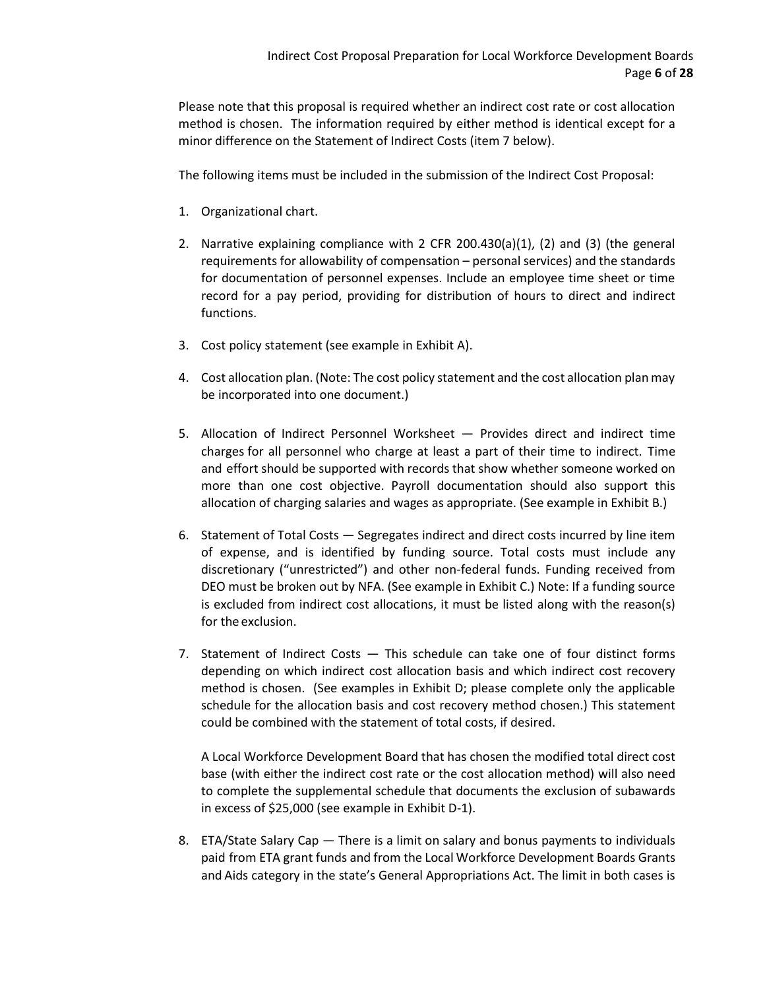Please note that this proposal is required whether an indirect cost rate or cost allocation method is chosen. The information required by either method is identical except for a minor difference on the Statement of Indirect Costs (item 7 below).

The following items must be included in the submission of the Indirect Cost Proposal:

- 1. Organizational chart.
- 2. Narrative explaining compliance with 2 CFR 200.430(a)(1), (2) and (3) (the general requirements for allowability of compensation – personal services) and the standards for documentation of personnel expenses. Include an employee time sheet or time record for a pay period, providing for distribution of hours to direct and indirect functions.
- 3. Cost policy statement (see example in Exhibit A).
- 4. Cost allocation plan. (Note: The cost policy statement and the cost allocation plan may be incorporated into one document.)
- 5. Allocation of Indirect Personnel Worksheet Provides direct and indirect time charges for all personnel who charge at least a part of their time to indirect. Time and effort should be supported with records that show whether someone worked on more than one cost objective. Payroll documentation should also support this allocation of charging salaries and wages as appropriate. (See example in Exhibit B.)
- 6. Statement of Total Costs Segregates indirect and direct costs incurred by line item of expense, and is identified by funding source. Total costs must include any discretionary ("unrestricted") and other non-federal funds. Funding received from DEO must be broken out by NFA. (See example in Exhibit C.) Note: If a funding source is excluded from indirect cost allocations, it must be listed along with the reason(s) for the exclusion.
- 7. Statement of Indirect Costs This schedule can take one of four distinct forms depending on which indirect cost allocation basis and which indirect cost recovery method is chosen. (See examples in Exhibit D; please complete only the applicable schedule for the allocation basis and cost recovery method chosen.) This statement could be combined with the statement of total costs, if desired.

A Local Workforce Development Board that has chosen the modified total direct cost base (with either the indirect cost rate or the cost allocation method) will also need to complete the supplemental schedule that documents the exclusion of subawards in excess of \$25,000 (see example in Exhibit D-1).

8. ETA/State Salary Cap — There is a limit on salary and bonus payments to individuals paid from ETA grant funds and from the Local Workforce Development Boards Grants and Aids category in the state's General Appropriations Act. The limit in both cases is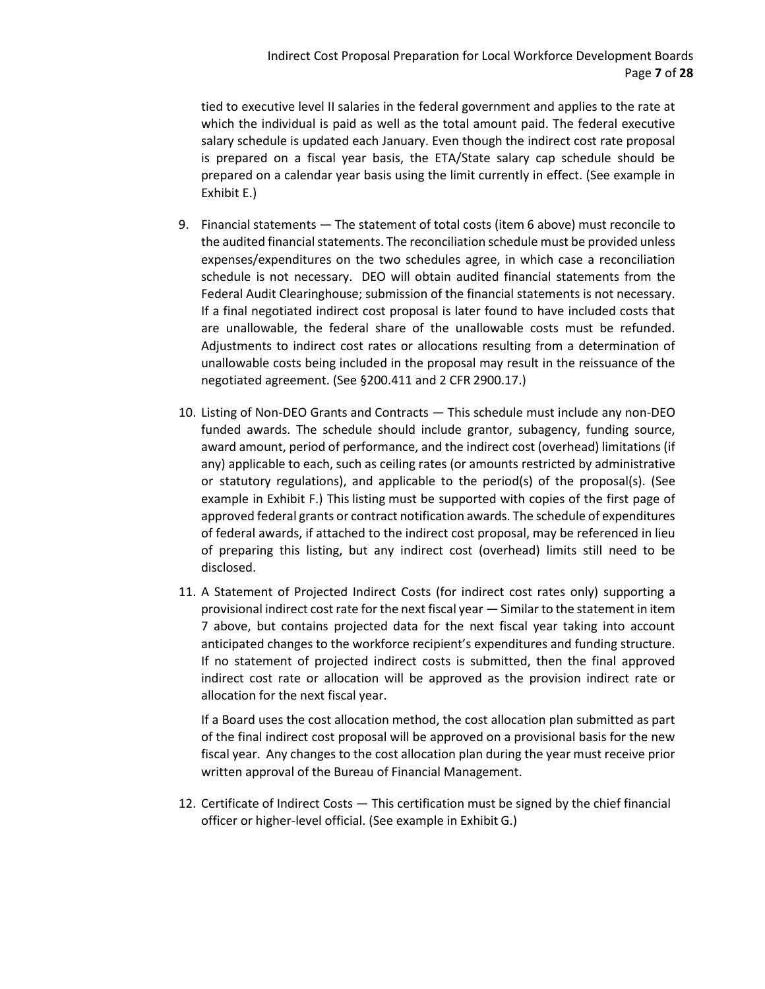tied to executive level II salaries in the federal government and applies to the rate at which the individual is paid as well as the total amount paid. The federal executive salary schedule is updated each January. Even though the indirect cost rate proposal is prepared on a fiscal year basis, the ETA/State salary cap schedule should be prepared on a calendar year basis using the limit currently in effect. (See example in Exhibit E.)

- 9. Financial statements The statement of total costs (item 6 above) must reconcile to the audited financial statements. The reconciliation schedule must be provided unless expenses/expenditures on the two schedules agree, in which case a reconciliation schedule is not necessary. DEO will obtain audited financial statements from the Federal Audit Clearinghouse; submission of the financial statements is not necessary. If a final negotiated indirect cost proposal is later found to have included costs that are unallowable, the federal share of the unallowable costs must be refunded. Adjustments to indirect cost rates or allocations resulting from a determination of unallowable costs being included in the proposal may result in the reissuance of the negotiated agreement. (See §200.411 and 2 CFR 2900.17.)
- 10. Listing of Non-DEO Grants and Contracts This schedule must include any non-DEO funded awards. The schedule should include grantor, subagency, funding source, award amount, period of performance, and the indirect cost (overhead) limitations (if any) applicable to each, such as ceiling rates (or amounts restricted by administrative or statutory regulations), and applicable to the period(s) of the proposal(s). (See example in Exhibit F.) This listing must be supported with copies of the first page of approved federal grants or contract notification awards. The schedule of expenditures of federal awards, if attached to the indirect cost proposal, may be referenced in lieu of preparing this listing, but any indirect cost (overhead) limits still need to be disclosed.
- 11. A Statement of Projected Indirect Costs (for indirect cost rates only) supporting a provisional indirect cost rate for the next fiscal year — Similar to the statement in item 7 above, but contains projected data for the next fiscal year taking into account anticipated changes to the workforce recipient's expenditures and funding structure. If no statement of projected indirect costs is submitted, then the final approved indirect cost rate or allocation will be approved as the provision indirect rate or allocation for the next fiscal year.

If a Board uses the cost allocation method, the cost allocation plan submitted as part of the final indirect cost proposal will be approved on a provisional basis for the new fiscal year. Any changes to the cost allocation plan during the year must receive prior written approval of the Bureau of Financial Management.

12. Certificate of Indirect Costs — This certification must be signed by the chief financial officer or higher-level official. (See example in Exhibit G.)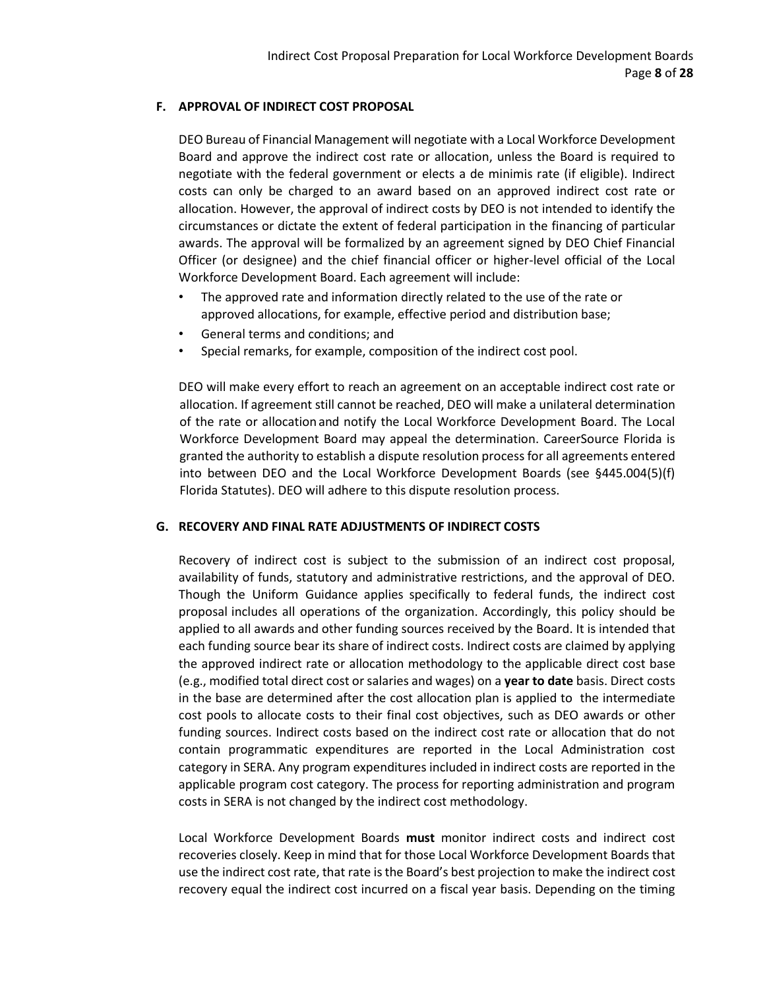## **F. APPROVAL OF INDIRECT COST PROPOSAL**

DEO Bureau of Financial Management will negotiate with a Local Workforce Development Board and approve the indirect cost rate or allocation, unless the Board is required to negotiate with the federal government or elects a de minimis rate (if eligible). Indirect costs can only be charged to an award based on an approved indirect cost rate or allocation. However, the approval of indirect costs by DEO is not intended to identify the circumstances or dictate the extent of federal participation in the financing of particular awards. The approval will be formalized by an agreement signed by DEO Chief Financial Officer (or designee) and the chief financial officer or higher-level official of the Local Workforce Development Board. Each agreement will include:

- The approved rate and information directly related to the use of the rate or approved allocations, for example, effective period and distribution base;
- General terms and conditions; and
- Special remarks, for example, composition of the indirect cost pool.

DEO will make every effort to reach an agreement on an acceptable indirect cost rate or allocation. If agreement still cannot be reached, DEO will make a unilateral determination of the rate or allocationand notify the Local Workforce Development Board. The Local Workforce Development Board may appeal the determination. CareerSource Florida is granted the authority to establish a dispute resolution process for all agreements entered into between DEO and the Local Workforce Development Boards (see §445.004(5)(f) Florida Statutes). DEO will adhere to this dispute resolution process.

## **G. RECOVERY AND FINAL RATE ADJUSTMENTS OF INDIRECT COSTS**

Recovery of indirect cost is subject to the submission of an indirect cost proposal, availability of funds, statutory and administrative restrictions, and the approval of DEO. Though the Uniform Guidance applies specifically to federal funds, the indirect cost proposal includes all operations of the organization. Accordingly, this policy should be applied to all awards and other funding sources received by the Board. It is intended that each funding source bear its share of indirect costs. Indirect costs are claimed by applying the approved indirect rate or allocation methodology to the applicable direct cost base (e.g., modified total direct cost orsalaries and wages) on a **year to date** basis. Direct costs in the base are determined after the cost allocation plan is applied to the intermediate cost pools to allocate costs to their final cost objectives, such as DEO awards or other funding sources. Indirect costs based on the indirect cost rate or allocation that do not contain programmatic expenditures are reported in the Local Administration cost category in SERA. Any program expenditures included in indirect costs are reported in the applicable program cost category. The process for reporting administration and program costs in SERA is not changed by the indirect cost methodology.

Local Workforce Development Boards **must** monitor indirect costs and indirect cost recoveries closely. Keep in mind that for those Local Workforce Development Boards that use the indirect cost rate, that rate is the Board's best projection to make the indirect cost recovery equal the indirect cost incurred on a fiscal year basis. Depending on the timing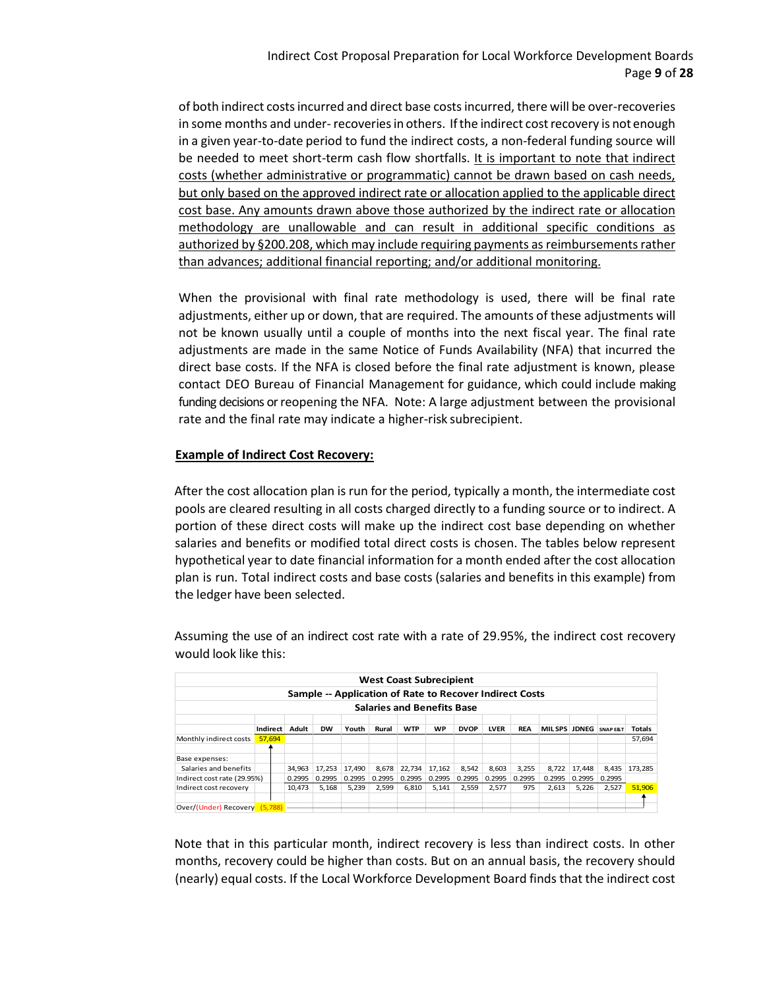of both indirect costs incurred and direct base costs incurred, there will be over-recoveries in some months and under-recoveries in others. If the indirect cost recovery is not enough in a given year-to-date period to fund the indirect costs, a non-federal funding source will be needed to meet short-term cash flow shortfalls. It is important to note that indirect costs (whether administrative or programmatic) cannot be drawn based on cash needs, but only based on the approved indirect rate or allocation applied to the applicable direct cost base. Any amounts drawn above those authorized by the indirect rate or allocation methodology are unallowable and can result in additional specific conditions as authorized by §200.208, which may include requiring payments as reimbursements rather than advances; additional financial reporting; and/or additional monitoring.

When the provisional with final rate methodology is used, there will be final rate adjustments, either up or down, that are required. The amounts of these adjustments will not be known usually until a couple of months into the next fiscal year. The final rate adjustments are made in the same Notice of Funds Availability (NFA) that incurred the direct base costs. If the NFA is closed before the final rate adjustment is known, please contact DEO Bureau of Financial Management for guidance, which could include making funding decisions or reopening the NFA. Note: A large adjustment between the provisional rate and the final rate may indicate a higher-risk subrecipient.

## **Example of Indirect Cost Recovery:**

After the cost allocation plan is run for the period, typically a month, the intermediate cost pools are cleared resulting in all costs charged directly to a funding source or to indirect. A portion of these direct costs will make up the indirect cost base depending on whether salaries and benefits or modified total direct costs is chosen. The tables below represent hypothetical year to date financial information for a month ended after the cost allocation plan is run. Total indirect costs and base costs (salaries and benefits in this example) from the ledger have been selected.

|                             |                                                                                                                                                                                    |         |        |        |        |        |        | <b>West Coast Subrecipient</b>    |                                                         |        |        |        |        |        |         |
|-----------------------------|------------------------------------------------------------------------------------------------------------------------------------------------------------------------------------|---------|--------|--------|--------|--------|--------|-----------------------------------|---------------------------------------------------------|--------|--------|--------|--------|--------|---------|
|                             |                                                                                                                                                                                    |         |        |        |        |        |        |                                   | Sample -- Application of Rate to Recover Indirect Costs |        |        |        |        |        |         |
|                             |                                                                                                                                                                                    |         |        |        |        |        |        | <b>Salaries and Benefits Base</b> |                                                         |        |        |        |        |        |         |
|                             | Adult<br><b>WTP</b><br>Indirect<br><b>WP</b><br><b>LVER</b><br><b>REA</b><br><b>MILSPS</b><br><b>DW</b><br>Youth<br><b>DVOP</b><br>Rural<br>JDNEG<br>Totals<br><b>SNAP E&amp;T</b> |         |        |        |        |        |        |                                   |                                                         |        |        |        |        |        |         |
| Monthly indirect costs      | 57.694                                                                                                                                                                             |         |        |        |        |        |        |                                   |                                                         |        |        |        |        |        | 57,694  |
| Base expenses:              |                                                                                                                                                                                    |         |        |        |        |        |        |                                   |                                                         |        |        |        |        |        |         |
| Salaries and benefits       |                                                                                                                                                                                    |         | 34.963 | 17,253 | 17.490 | 8.678  | 22.734 | 17.162                            | 8,542                                                   | 8,603  | 3.255  | 8.722  | 17.448 | 8,435  | 173.285 |
| Indirect cost rate (29.95%) |                                                                                                                                                                                    |         | 0.2995 | 0.2995 | 0.2995 | 0.2995 | 0.2995 | 0.2995                            | 0.2995                                                  | 0.2995 | 0.2995 | 0.2995 | 0.2995 | 0.2995 |         |
| Indirect cost recovery      |                                                                                                                                                                                    |         | 10.473 | 5.168  | 5.239  | 2,599  | 6,810  | 5,141                             | 2,559                                                   | 2,577  | 975    | 2,613  | 5,226  | 2,527  | 51,906  |
|                             |                                                                                                                                                                                    |         |        |        |        |        |        |                                   |                                                         |        |        |        |        |        |         |
| Over/(Under) Recovery       |                                                                                                                                                                                    | (5.788) |        |        |        |        |        |                                   |                                                         |        |        |        |        |        |         |

Assuming the use of an indirect cost rate with a rate of 29.95%, the indirect cost recovery would look like this:

Note that in this particular month, indirect recovery is less than indirect costs. In other months, recovery could be higher than costs. But on an annual basis, the recovery should (nearly) equal costs. If the Local Workforce Development Board finds that the indirect cost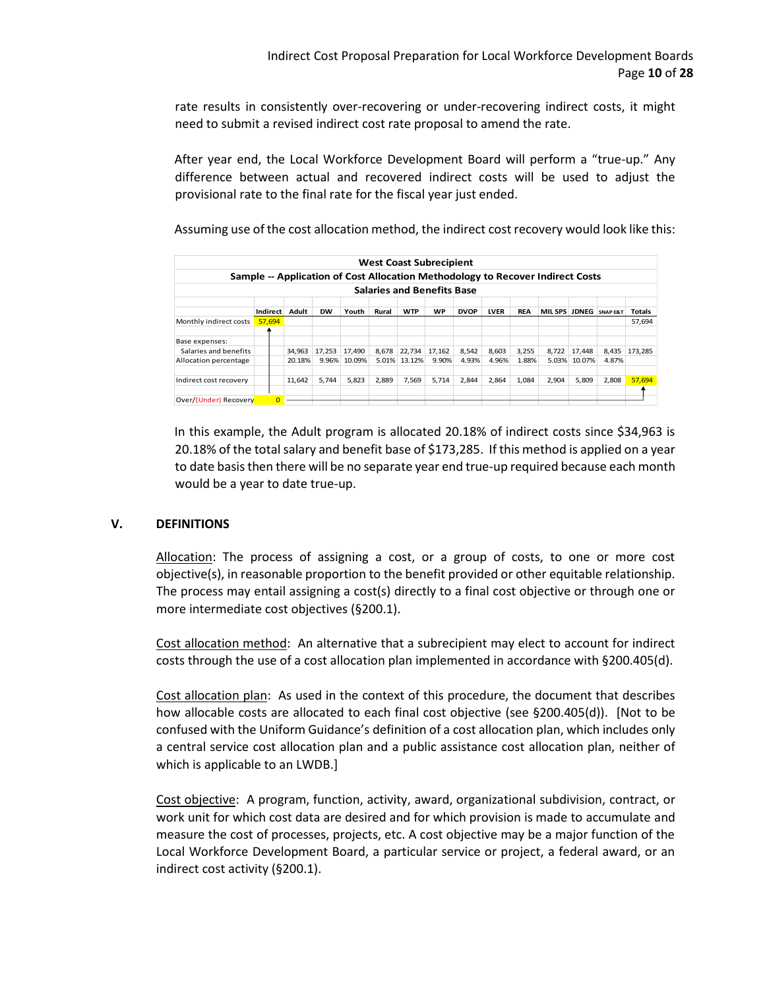rate results in consistently over-recovering or under-recovering indirect costs, it might need to submit a revised indirect cost rate proposal to amend the rate.

After year end, the Local Workforce Development Board will perform a "true-up." Any difference between actual and recovered indirect costs will be used to adjust the provisional rate to the final rate for the fiscal year just ended.

Assuming use of the cost allocation method, the indirect cost recovery would look like this:

|                        |                 |        |           |              |       |            | <b>West Coast Subrecipient</b>    |             |             |            |                                                                                |        |          |         |
|------------------------|-----------------|--------|-----------|--------------|-------|------------|-----------------------------------|-------------|-------------|------------|--------------------------------------------------------------------------------|--------|----------|---------|
|                        |                 |        |           |              |       |            |                                   |             |             |            | Sample -- Application of Cost Allocation Methodology to Recover Indirect Costs |        |          |         |
|                        |                 |        |           |              |       |            | <b>Salaries and Benefits Base</b> |             |             |            |                                                                                |        |          |         |
|                        |                 |        |           |              |       |            |                                   |             |             |            |                                                                                |        |          |         |
|                        | <b>Indirect</b> | Adult  | <b>DW</b> | Youth        | Rural | <b>WTP</b> | <b>WP</b>                         | <b>DVOP</b> | <b>LVER</b> | <b>REA</b> | MIL SPS JDNEG                                                                  |        | SNAP E&T | Totals  |
| Monthly indirect costs | 57.694          |        |           |              |       |            |                                   |             |             |            |                                                                                |        |          | 57.694  |
|                        |                 |        |           |              |       |            |                                   |             |             |            |                                                                                |        |          |         |
| Base expenses:         |                 |        |           |              |       |            |                                   |             |             |            |                                                                                |        |          |         |
| Salaries and benefits  |                 | 34.963 | 17,253    | 17,490       | 8,678 | 22,734     | 17,162                            | 8,542       | 8,603       | 3,255      | 8,722                                                                          | 17,448 | 8,435    | 173.285 |
| Allocation percentage  |                 | 20.18% |           | 9.96% 10.09% | 5.01% | 13.12%     | 9.90%                             | 4.93%       | 4.96%       | 1.88%      | 5.03%                                                                          | 10.07% | 4.87%    |         |
|                        |                 |        |           |              |       |            |                                   |             |             |            |                                                                                |        |          |         |
| Indirect cost recovery |                 | 11,642 | 5,744     | 5,823        | 2,889 | 7,569      | 5,714                             | 2,844       | 2,864       | 1,084      | 2,904                                                                          | 5,809  | 2,808    | 57,694  |
|                        |                 |        |           |              |       |            |                                   |             |             |            |                                                                                |        |          |         |
| Over/(Under) Recovery  | o               |        |           |              |       |            |                                   |             |             |            |                                                                                |        |          |         |

In this example, the Adult program is allocated 20.18% of indirect costs since \$34,963 is 20.18% of the total salary and benefit base of \$173,285. If this method is applied on a year to date basis then there will be no separate year end true-up required because each month would be a year to date true-up.

## **V. DEFINITIONS**

Allocation: The process of assigning a cost, or a group of costs, to one or more cost objective(s), in reasonable proportion to the benefit provided or other equitable relationship. The process may entail assigning a cost(s) directly to a final cost objective or through one or more intermediate cost objectives (§200.1).

Cost allocation method: An alternative that a subrecipient may elect to account for indirect costs through the use of a cost allocation plan implemented in accordance with §200.405(d).

Cost allocation plan: As used in the context of this procedure, the document that describes how allocable costs are allocated to each final cost objective (see §200.405(d)). [Not to be confused with the Uniform Guidance's definition of a cost allocation plan, which includes only a central service cost allocation plan and a public assistance cost allocation plan, neither of which is applicable to an LWDB.]

Cost objective: A program, function, activity, award, organizational subdivision, contract, or work unit for which cost data are desired and for which provision is made to accumulate and measure the cost of processes, projects, etc. A cost objective may be a major function of the Local Workforce Development Board, a particular service or project, a federal award, or an indirect cost activity (§200.1).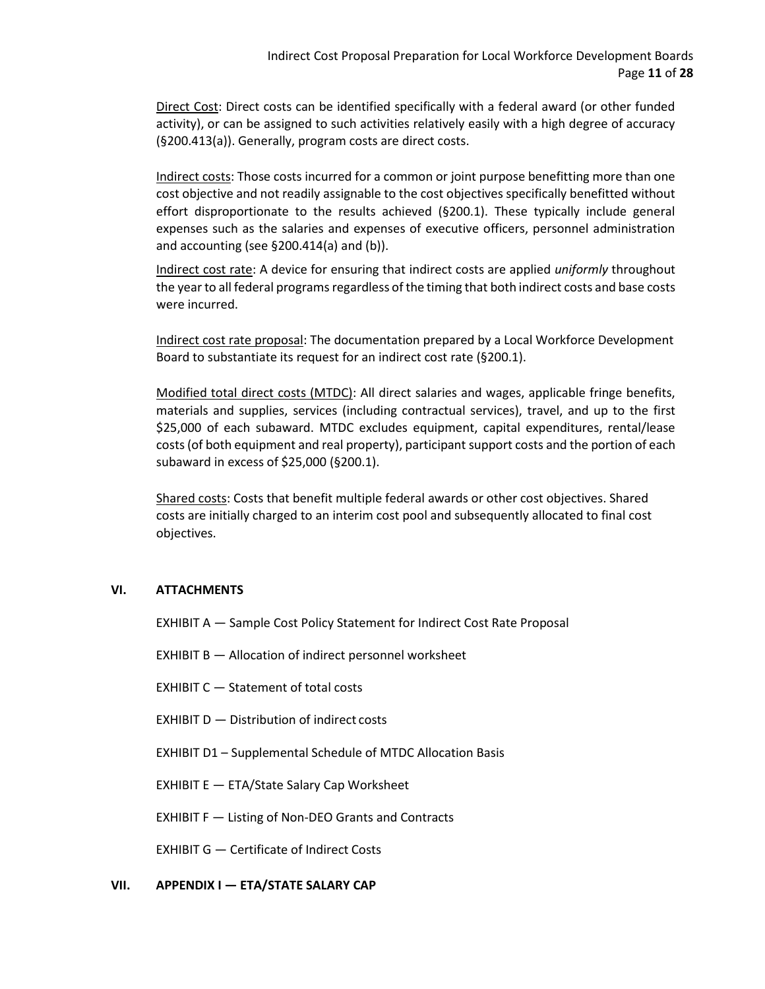Direct Cost: Direct costs can be identified specifically with a federal award (or other funded activity), or can be assigned to such activities relatively easily with a high degree of accuracy (§200.413(a)). Generally, program costs are direct costs.

Indirect costs: Those costs incurred for a common or joint purpose benefitting more than one cost objective and not readily assignable to the cost objectives specifically benefitted without effort disproportionate to the results achieved (§200.1). These typically include general expenses such as the salaries and expenses of executive officers, personnel administration and accounting (see §200.414(a) and (b)).

Indirect cost rate: A device for ensuring that indirect costs are applied *uniformly* throughout the year to all federal programs regardless of the timing that both indirect costs and base costs were incurred.

Indirect cost rate proposal: The documentation prepared by a Local Workforce Development Board to substantiate its request for an indirect cost rate (§200.1).

Modified total direct costs (MTDC): All direct salaries and wages, applicable fringe benefits, materials and supplies, services (including contractual services), travel, and up to the first \$25,000 of each subaward. MTDC excludes equipment, capital expenditures, rental/lease costs (of both equipment and real property), participant support costs and the portion of each subaward in excess of \$25,000 (§200.1).

Shared costs: Costs that benefit multiple federal awards or other cost objectives. Shared costs are initially charged to an interim cost pool and subsequently allocated to final cost objectives.

## **VI. ATTACHMENTS**

EXHIBIT A — Sample Cost Policy Statement for Indirect Cost Rate Proposal

EXHIBIT B — Allocation of indirect personnel worksheet

EXHIBIT C — Statement of total costs

EXHIBIT D — Distribution of indirect costs

EXHIBIT D1 – Supplemental Schedule of MTDC Allocation Basis

EXHIBIT E — ETA/State Salary Cap Worksheet

EXHIBIT F — Listing of Non-DEO Grants and Contracts

EXHIBIT G — Certificate of Indirect Costs

## **VII.** APPENDIX I — ETA/STATE SALARY CAP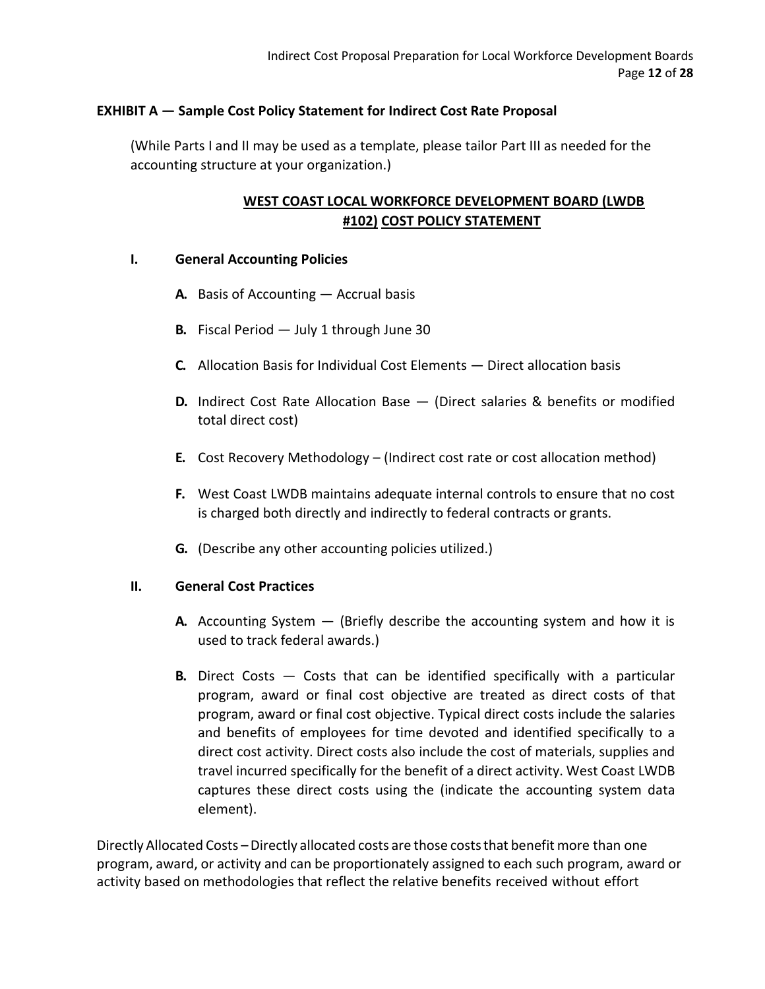# **EXHIBIT A — Sample Cost Policy Statement for Indirect Cost Rate Proposal**

(While Parts I and II may be used as a template, please tailor Part III as needed for the accounting structure at your organization.)

# **WEST COAST LOCAL WORKFORCE DEVELOPMENT BOARD (LWDB #102) COST POLICY STATEMENT**

## **I. General Accounting Policies**

- **A.** Basis of Accounting Accrual basis
- **B.** Fiscal Period July 1 through June 30
- **C.** Allocation Basis for Individual Cost Elements Direct allocation basis
- **D.** Indirect Cost Rate Allocation Base (Direct salaries & benefits or modified total direct cost)
- **E.** Cost Recovery Methodology (Indirect cost rate or cost allocation method)
- **F.** West Coast LWDB maintains adequate internal controls to ensure that no cost is charged both directly and indirectly to federal contracts or grants.
- **G.** (Describe any other accounting policies utilized.)

## **II. General Cost Practices**

- **A.** Accounting System (Briefly describe the accounting system and how it is used to track federal awards.)
- **B.** Direct Costs Costs that can be identified specifically with a particular program, award or final cost objective are treated as direct costs of that program, award or final cost objective. Typical direct costs include the salaries and benefits of employees for time devoted and identified specifically to a direct cost activity. Direct costs also include the cost of materials, supplies and travel incurred specifically for the benefit of a direct activity. West Coast LWDB captures these direct costs using the (indicate the accounting system data element).

Directly Allocated Costs – Directly allocated costs are those costs that benefit more than one program, award, or activity and can be proportionately assigned to each such program, award or activity based on methodologies that reflect the relative benefits received without effort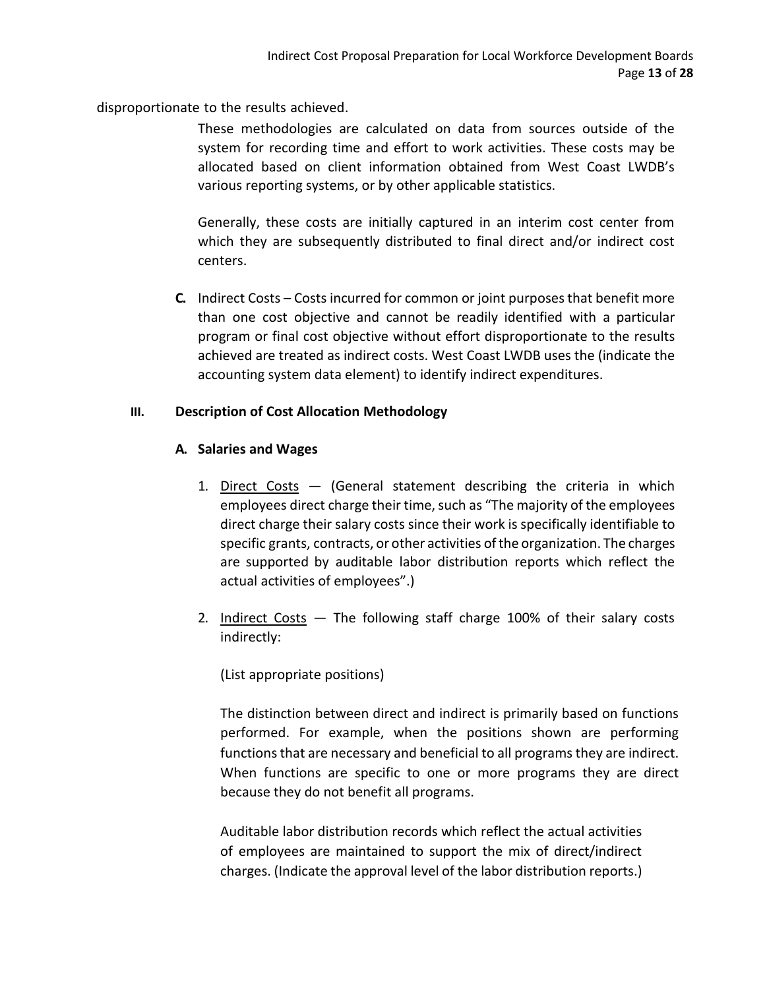disproportionate to the results achieved.

These methodologies are calculated on data from sources outside of the system for recording time and effort to work activities. These costs may be allocated based on client information obtained from West Coast LWDB's various reporting systems, or by other applicable statistics.

Generally, these costs are initially captured in an interim cost center from which they are subsequently distributed to final direct and/or indirect cost centers.

**C.** Indirect Costs – Costs incurred for common or joint purposes that benefit more than one cost objective and cannot be readily identified with a particular program or final cost objective without effort disproportionate to the results achieved are treated as indirect costs. West Coast LWDB uses the (indicate the accounting system data element) to identify indirect expenditures.

# **III. Description of Cost Allocation Methodology**

# **A. Salaries and Wages**

- 1. Direct Costs (General statement describing the criteria in which employees direct charge their time, such as "The majority of the employees direct charge their salary costs since their work is specifically identifiable to specific grants, contracts, or other activities of the organization. The charges are supported by auditable labor distribution reports which reflect the actual activities of employees".)
- 2. Indirect Costs The following staff charge 100% of their salary costs indirectly:

(List appropriate positions)

The distinction between direct and indirect is primarily based on functions performed. For example, when the positions shown are performing functions that are necessary and beneficial to all programs they are indirect. When functions are specific to one or more programs they are direct because they do not benefit all programs.

Auditable labor distribution records which reflect the actual activities of employees are maintained to support the mix of direct/indirect charges. (Indicate the approval level of the labor distribution reports.)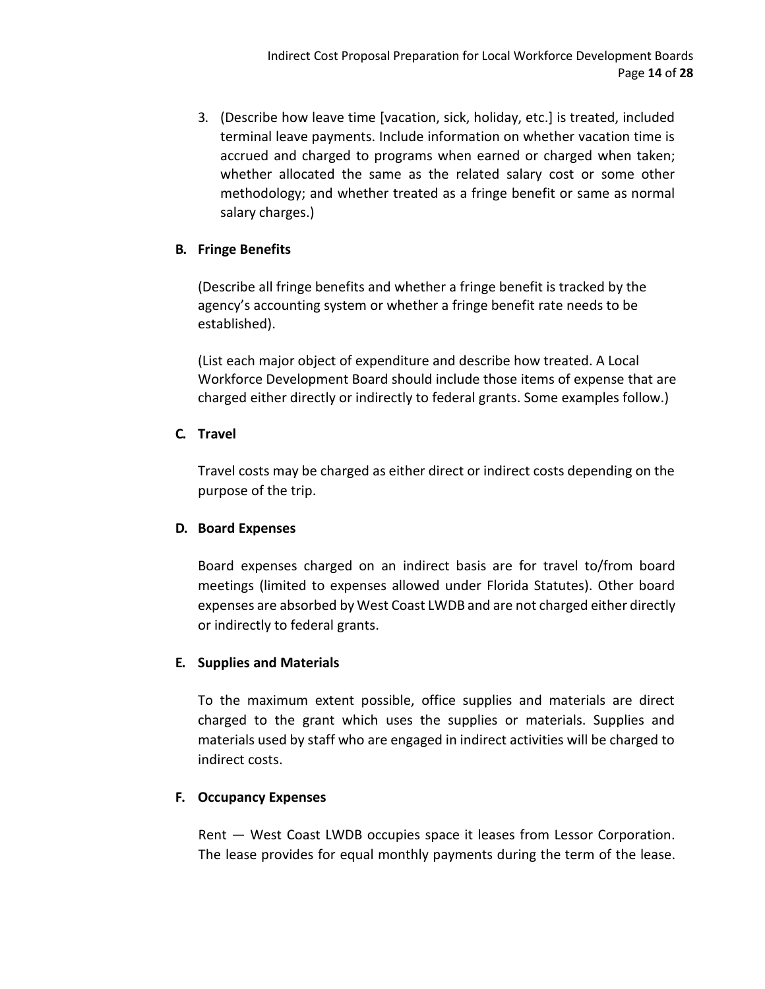3. (Describe how leave time [vacation, sick, holiday, etc.] is treated, included terminal leave payments. Include information on whether vacation time is accrued and charged to programs when earned or charged when taken; whether allocated the same as the related salary cost or some other methodology; and whether treated as a fringe benefit or same as normal salary charges.)

# **B. Fringe Benefits**

(Describe all fringe benefits and whether a fringe benefit is tracked by the agency's accounting system or whether a fringe benefit rate needs to be established).

(List each major object of expenditure and describe how treated. A Local Workforce Development Board should include those items of expense that are charged either directly or indirectly to federal grants. Some examples follow.)

# **C. Travel**

Travel costs may be charged as either direct or indirect costs depending on the purpose of the trip.

# **D. Board Expenses**

Board expenses charged on an indirect basis are for travel to/from board meetings (limited to expenses allowed under Florida Statutes). Other board expenses are absorbed by West Coast LWDB and are not charged either directly or indirectly to federal grants.

# **E. Supplies and Materials**

To the maximum extent possible, office supplies and materials are direct charged to the grant which uses the supplies or materials. Supplies and materials used by staff who are engaged in indirect activities will be charged to indirect costs.

## **F. Occupancy Expenses**

Rent — West Coast LWDB occupies space it leases from Lessor Corporation. The lease provides for equal monthly payments during the term of the lease.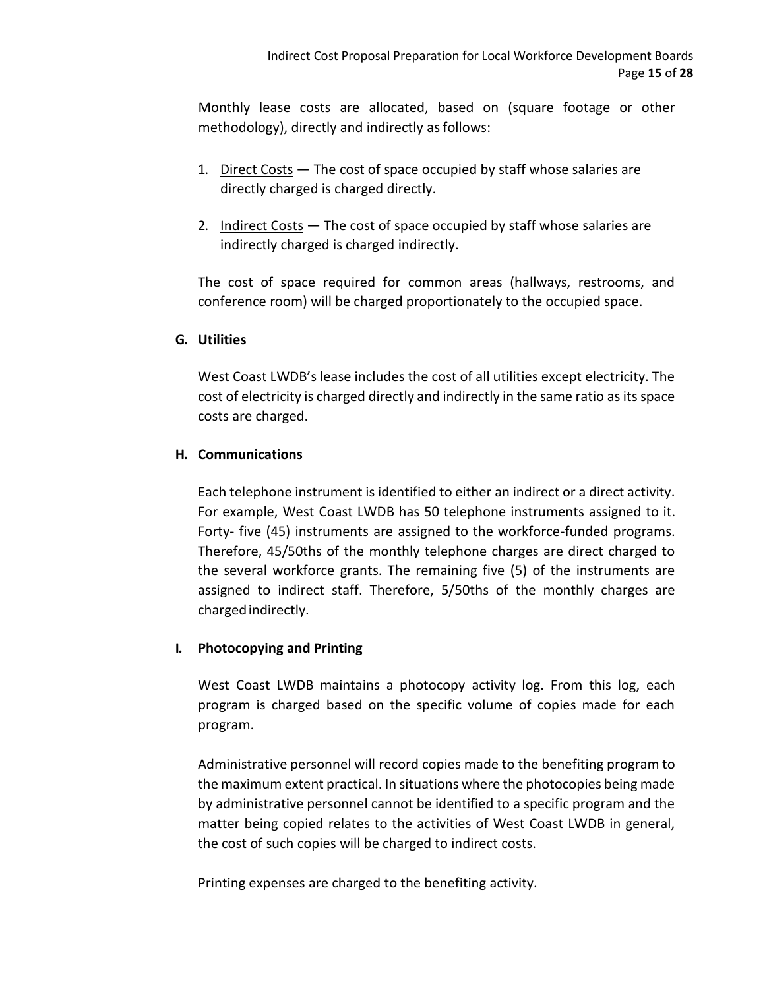Monthly lease costs are allocated, based on (square footage or other methodology), directly and indirectly as follows:

- 1. Direct Costs The cost of space occupied by staff whose salaries are directly charged is charged directly.
- 2. Indirect Costs The cost of space occupied by staff whose salaries are indirectly charged is charged indirectly.

The cost of space required for common areas (hallways, restrooms, and conference room) will be charged proportionately to the occupied space.

# **G. Utilities**

West Coast LWDB's lease includes the cost of all utilities except electricity. The cost of electricity is charged directly and indirectly in the same ratio as its space costs are charged.

# **H. Communications**

Each telephone instrument is identified to either an indirect or a direct activity. For example, West Coast LWDB has 50 telephone instruments assigned to it. Forty- five (45) instruments are assigned to the workforce-funded programs. Therefore, 45/50ths of the monthly telephone charges are direct charged to the several workforce grants. The remaining five (5) of the instruments are assigned to indirect staff. Therefore, 5/50ths of the monthly charges are chargedindirectly.

## **I. Photocopying and Printing**

West Coast LWDB maintains a photocopy activity log. From this log, each program is charged based on the specific volume of copies made for each program.

Administrative personnel will record copies made to the benefiting program to the maximum extent practical. In situations where the photocopies being made by administrative personnel cannot be identified to a specific program and the matter being copied relates to the activities of West Coast LWDB in general, the cost of such copies will be charged to indirect costs.

Printing expenses are charged to the benefiting activity.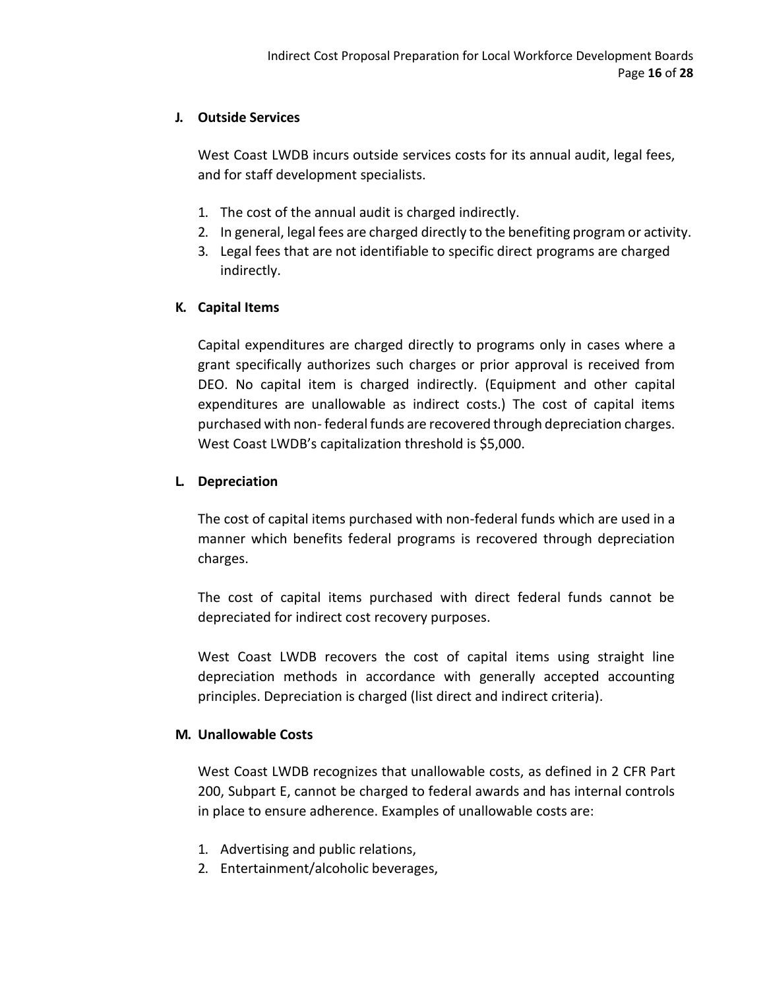# **J. Outside Services**

West Coast LWDB incurs outside services costs for its annual audit, legal fees, and for staff development specialists.

- 1. The cost of the annual audit is charged indirectly.
- 2. In general, legal fees are charged directly to the benefiting program or activity.
- 3. Legal fees that are not identifiable to specific direct programs are charged indirectly.

# **K. Capital Items**

Capital expenditures are charged directly to programs only in cases where a grant specifically authorizes such charges or prior approval is received from DEO. No capital item is charged indirectly. (Equipment and other capital expenditures are unallowable as indirect costs.) The cost of capital items purchased with non- federal funds are recovered through depreciation charges. West Coast LWDB's capitalization threshold is \$5,000.

# **L. Depreciation**

The cost of capital items purchased with non-federal funds which are used in a manner which benefits federal programs is recovered through depreciation charges.

The cost of capital items purchased with direct federal funds cannot be depreciated for indirect cost recovery purposes.

West Coast LWDB recovers the cost of capital items using straight line depreciation methods in accordance with generally accepted accounting principles. Depreciation is charged (list direct and indirect criteria).

# **M. Unallowable Costs**

West Coast LWDB recognizes that unallowable costs, as defined in 2 CFR Part 200, Subpart E, cannot be charged to federal awards and has internal controls in place to ensure adherence. Examples of unallowable costs are:

- 1. Advertising and public relations,
- 2. Entertainment/alcoholic beverages,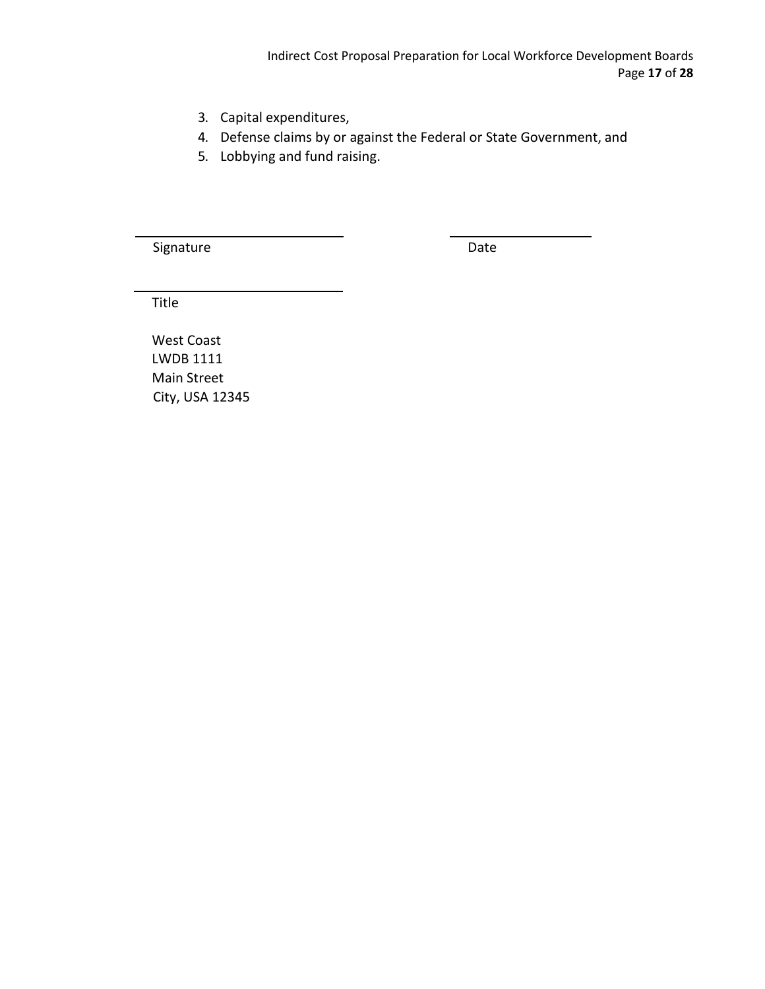- 3. Capital expenditures,
- 4. Defense claims by or against the Federal or State Government, and
- 5. Lobbying and fund raising.

Signature Date Date

Title

West Coast LWDB 1111 Main Street City, USA 12345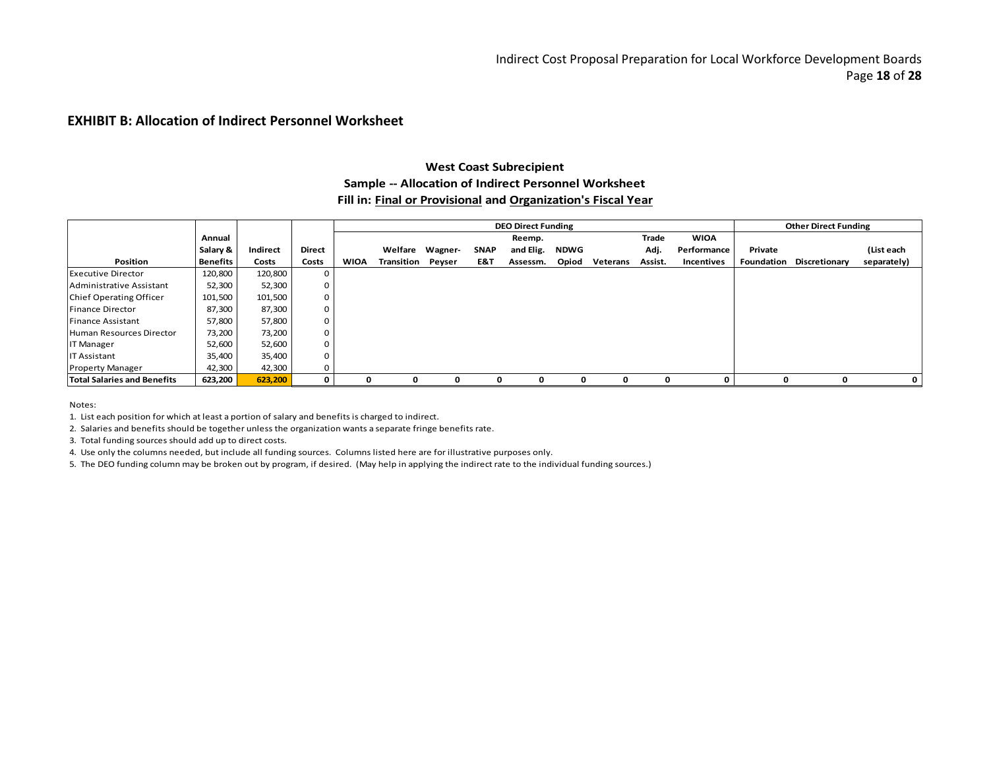#### **EXHIBIT B: Allocation of Indirect Personnel Worksheet**

## **West Coast Subrecipient Sample -- Allocation of Indirect Personnel Worksheet Fill in: Final or Provisional and Organization's Fiscal Year**

|                                    |          |          |        |             |            |                 |             | <b>DEO Direct Funding</b> |             |          |         |                   |         | <b>Other Direct Funding</b>     |             |
|------------------------------------|----------|----------|--------|-------------|------------|-----------------|-------------|---------------------------|-------------|----------|---------|-------------------|---------|---------------------------------|-------------|
|                                    | Annual   |          |        |             |            |                 |             | Reemp.                    |             |          | Trade   | <b>WIOA</b>       |         |                                 |             |
|                                    | Salary & | Indirect | Direct |             |            | Welfare Wagner- | <b>SNAP</b> | and Elig.                 | <b>NDWG</b> |          | Adj.    | Performance       | Private |                                 | (List each  |
| <b>Position</b>                    | Benefits | Costs    | Costs  | <b>WIOA</b> | Transition | Peyser          | E&T         | Assessm.                  | Opiod       | Veterans | Assist. | <b>Incentives</b> |         | <b>Foundation Discretionary</b> | separately) |
| <b>Executive Director</b>          | 120,800  | 120,800  | 0      |             |            |                 |             |                           |             |          |         |                   |         |                                 |             |
| Administrative Assistant           | 52,300   | 52,300   | 0      |             |            |                 |             |                           |             |          |         |                   |         |                                 |             |
| <b>Chief Operating Officer</b>     | 101,500  | 101,500  | 0      |             |            |                 |             |                           |             |          |         |                   |         |                                 |             |
| Finance Director                   | 87,300   | 87,300   | 0      |             |            |                 |             |                           |             |          |         |                   |         |                                 |             |
| Finance Assistant                  | 57,800   | 57,800   | 0      |             |            |                 |             |                           |             |          |         |                   |         |                                 |             |
| Human Resources Director           | 73,200   | 73,200   | 0      |             |            |                 |             |                           |             |          |         |                   |         |                                 |             |
| <b>IT Manager</b>                  | 52,600   | 52,600   |        |             |            |                 |             |                           |             |          |         |                   |         |                                 |             |
| <b>IT Assistant</b>                | 35,400   | 35,400   | 0      |             |            |                 |             |                           |             |          |         |                   |         |                                 |             |
| <b>Property Manager</b>            | 42,300   | 42,300   | 0      |             |            |                 |             |                           |             |          |         |                   |         |                                 |             |
| <b>Total Salaries and Benefits</b> | 623,200  | 623,200  | 0      | 0           | 0          | $\mathbf{o}$    | n           | O.                        | n           | n        | 0       | 0                 |         |                                 | 0           |

Notes:

1. List each position for which at least a portion of salary and benefits is charged to indirect.

2. Salaries and benefits should be together unless the organization wants a separate fringe benefits rate.

3. Total funding sources should add up to direct costs.

4. Use only the columns needed, but include all funding sources. Columns listed here are for illustrative purposes only.

5. The DEO funding column may be broken out by program, if desired. (May help in applying the indirect rate to the individual funding sources.)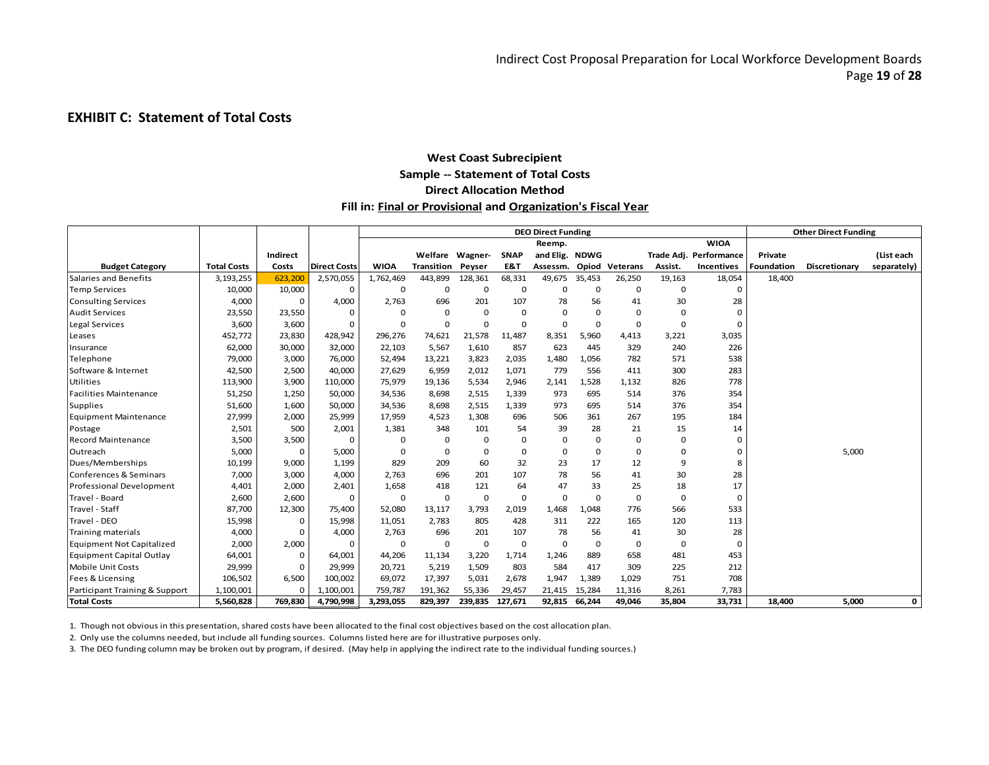## **EXHIBIT C: Statement of Total Costs**

## **West Coast Subrecipient Sample -- Statement of Total Costs Direct Allocation Method Fill in: Final or Provisional and Organization's Fiscal Year**

|                                  |                    |             |                     |             |                   |             |             | <b>DEO Direct Funding</b> |             |             |             |                        |                   | <b>Other Direct Funding</b> |             |
|----------------------------------|--------------------|-------------|---------------------|-------------|-------------------|-------------|-------------|---------------------------|-------------|-------------|-------------|------------------------|-------------------|-----------------------------|-------------|
|                                  |                    |             |                     |             |                   |             |             | Reemp.                    |             |             |             | <b>WIOA</b>            |                   |                             |             |
|                                  |                    | Indirect    |                     |             | Welfare Wagner-   |             | <b>SNAP</b> | and Elig. NDWG            |             |             |             | Trade Adj. Performance | Private           |                             | (List each  |
| <b>Budget Category</b>           | <b>Total Costs</b> | Costs       | <b>Direct Costs</b> | <b>WIOA</b> | <b>Transition</b> | Peyser      | E&T         | Assessm.                  | Opiod       | Veterans    | Assist.     | Incentives             | <b>Foundation</b> | <b>Discretionary</b>        | separately) |
| Salaries and Benefits            | 3,193,255          | 623,200     | 2,570,055           | 1,762,469   | 443,899           | 128,361     | 68,331      | 49,675                    | 35,453      | 26,250      | 19,163      | 18,054                 | 18,400            |                             |             |
| <b>Temp Services</b>             | 10,000             | 10,000      | O                   | $\mathbf 0$ | $\mathbf 0$       | 0           | 0           | 0                         | 0           | 0           | $\mathbf 0$ | 0                      |                   |                             |             |
| <b>Consulting Services</b>       | 4,000              | $\Omega$    | 4,000               | 2,763       | 696               | 201         | 107         | 78                        | 56          | 41          | 30          | 28                     |                   |                             |             |
| <b>Audit Services</b>            | 23,550             | 23,550      | $\Omega$            |             | $\Omega$          | 0           | $\Omega$    | 0                         | 0           | $\Omega$    | $\Omega$    | 0                      |                   |                             |             |
| Legal Services                   | 3,600              | 3,600       | $\Omega$            | $\Omega$    | $\Omega$          | $\Omega$    | $\Omega$    | $\Omega$                  | $\mathbf 0$ | 0           | $\Omega$    | 0                      |                   |                             |             |
| Leases                           | 452,772            | 23,830      | 428,942             | 296,276     | 74,621            | 21,578      | 11,487      | 8,351                     | 5,960       | 4,413       | 3,221       | 3,035                  |                   |                             |             |
| Insurance                        | 62,000             | 30,000      | 32,000              | 22,103      | 5,567             | 1,610       | 857         | 623                       | 445         | 329         | 240         | 226                    |                   |                             |             |
| Telephone                        | 79,000             | 3,000       | 76,000              | 52,494      | 13,221            | 3,823       | 2,035       | 1,480                     | 1,056       | 782         | 571         | 538                    |                   |                             |             |
| Software & Internet              | 42,500             | 2,500       | 40,000              | 27,629      | 6,959             | 2,012       | 1,071       | 779                       | 556         | 411         | 300         | 283                    |                   |                             |             |
| Utilities                        | 113,900            | 3,900       | 110,000             | 75,979      | 19,136            | 5,534       | 2,946       | 2,141                     | 1,528       | 1,132       | 826         | 778                    |                   |                             |             |
| <b>Facilities Maintenance</b>    | 51,250             | 1,250       | 50,000              | 34,536      | 8,698             | 2,515       | 1,339       | 973                       | 695         | 514         | 376         | 354                    |                   |                             |             |
| <b>Supplies</b>                  | 51,600             | 1,600       | 50,000              | 34,536      | 8,698             | 2,515       | 1,339       | 973                       | 695         | 514         | 376         | 354                    |                   |                             |             |
| <b>Equipment Maintenance</b>     | 27,999             | 2,000       | 25,999              | 17,959      | 4,523             | 1,308       | 696         | 506                       | 361         | 267         | 195         | 184                    |                   |                             |             |
| Postage                          | 2,501              | 500         | 2,001               | 1,381       | 348               | 101         | 54          | 39                        | 28          | 21          | 15          | 14                     |                   |                             |             |
| <b>Record Maintenance</b>        | 3,500              | 3,500       |                     | $\Omega$    | $\Omega$          | 0           | 0           | 0                         | $\mathbf 0$ | $\mathbf 0$ | $\mathbf 0$ | $\Omega$               |                   |                             |             |
| Outreach                         | 5,000              | $\mathbf 0$ | 5,000               | $\Omega$    | $\Omega$          | 0           | $\mathbf 0$ | 0                         | $\mathbf 0$ | 0           | $\mathbf 0$ | 0                      |                   | 5,000                       |             |
| Dues/Memberships                 | 10,199             | 9,000       | 1,199               | 829         | 209               | 60          | 32          | 23                        | 17          | 12          | 9           | 8                      |                   |                             |             |
| Conferences & Seminars           | 7,000              | 3,000       | 4,000               | 2,763       | 696               | 201         | 107         | 78                        | 56          | 41          | 30          | 28                     |                   |                             |             |
| <b>Professional Development</b>  | 4,401              | 2,000       | 2,401               | 1,658       | 418               | 121         | 64          | 47                        | 33          | 25          | 18          | 17                     |                   |                             |             |
| Travel - Board                   | 2,600              | 2,600       | $\Omega$            | $\Omega$    | $\mathbf 0$       | $\mathbf 0$ | $\Omega$    | 0                         | $\mathbf 0$ | $\Omega$    | $\Omega$    | $\Omega$               |                   |                             |             |
| Travel - Staff                   | 87,700             | 12,300      | 75,400              | 52,080      | 13,117            | 3,793       | 2,019       | 1,468                     | 1,048       | 776         | 566         | 533                    |                   |                             |             |
| Travel - DEO                     | 15,998             | 0           | 15,998              | 11,051      | 2,783             | 805         | 428         | 311                       | 222         | 165         | 120         | 113                    |                   |                             |             |
| <b>Training materials</b>        | 4,000              | $\Omega$    | 4,000               | 2,763       | 696               | 201         | 107         | 78                        | 56          | 41          | 30          | 28                     |                   |                             |             |
| <b>Equipment Not Capitalized</b> | 2,000              | 2,000       | $\Omega$            | $\Omega$    | $\mathbf 0$       | $\mathbf 0$ | $\mathbf 0$ | 0                         | 0           | 0           | 0           | 0                      |                   |                             |             |
| <b>Equipment Capital Outlay</b>  | 64,001             | 0           | 64,001              | 44,206      | 11,134            | 3,220       | 1,714       | 1,246                     | 889         | 658         | 481         | 453                    |                   |                             |             |
| <b>Mobile Unit Costs</b>         | 29,999             | 0           | 29,999              | 20,721      | 5,219             | 1,509       | 803         | 584                       | 417         | 309         | 225         | 212                    |                   |                             |             |
| Fees & Licensing                 | 106,502            | 6,500       | 100,002             | 69,072      | 17,397            | 5,031       | 2,678       | 1,947                     | 1,389       | 1,029       | 751         | 708                    |                   |                             |             |
| Participant Training & Support   | 1,100,001          | $\Omega$    | 1,100,001           | 759,787     | 191,362           | 55,336      | 29,457      | 21,415                    | 15,284      | 11,316      | 8,261       | 7,783                  |                   |                             |             |
| <b>Total Costs</b>               | 5,560,828          | 769,830     | 4,790,998           | 3,293,055   | 829,397           | 239,835     | 127,671     | 92,815                    | 66,244      | 49,046      | 35,804      | 33,731                 | 18,400            | 5,000                       | 0           |

1. Though not obvious in this presentation, shared costs have been allocated to the final cost objectives based on the cost allocation plan.

2. Only use the columns needed, but include all funding sources. Columns listed here are for illustrative purposes only.

3. The DEO funding column may be broken out by program, if desired. (May help in applying the indirect rate to the individual funding sources.)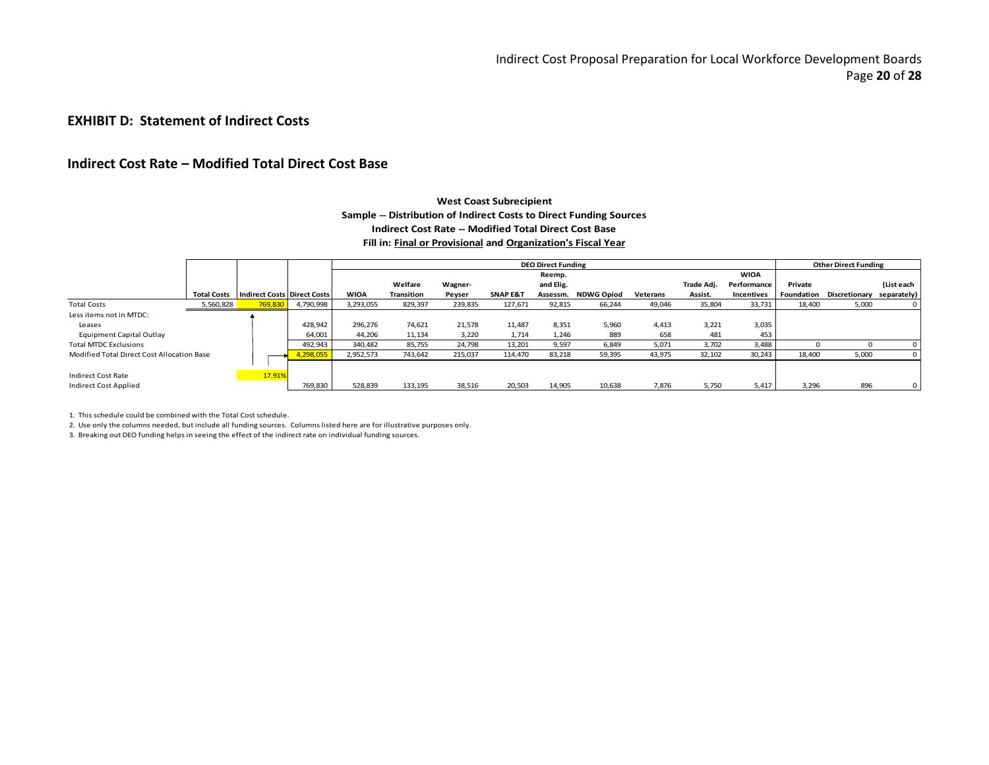## **EXHIBIT D: Statement of Indirect Costs**

## **Indirect Cost Rate – Modified Total Direct Cost Base**

#### **West Coast Subrecipient Sample -- Distribution of Indirect Costs to Direct Funding Sources Indirect Cost Rate -- Modified Total Direct Cost Base Fill in: Final or Provisional and Organization's Fiscal Year**

|                                            |                    |                                    |           |             |                   |         |                     | <b>DEO Direct Funding</b> |                   |          |            |                   |            | <b>Other Direct Funding</b> |              |
|--------------------------------------------|--------------------|------------------------------------|-----------|-------------|-------------------|---------|---------------------|---------------------------|-------------------|----------|------------|-------------------|------------|-----------------------------|--------------|
|                                            |                    |                                    |           |             |                   |         |                     | Reemp.                    |                   |          |            | <b>WIOA</b>       |            |                             |              |
|                                            |                    |                                    |           |             | Welfare           | Wagner- |                     | and Elig.                 |                   |          | Trade Adj. | Performance       | Private    |                             | (List each   |
|                                            | <b>Total Costs</b> | <b>Indirect Costs Direct Costs</b> |           | <b>WIOA</b> | <b>Transition</b> | Peyser  | <b>SNAP E&amp;T</b> | Assessm.                  | <b>NDWG Opiod</b> | Veterans | Assist.    | <b>Incentives</b> | Foundation | <b>Discretionary</b>        | separately)  |
| <b>Total Costs</b>                         | 5,560,828          | 769,830                            | 4,790,998 | 3,293,055   | 829,397           | 239,835 | 127,671             | 92,815                    | 66,244            | 49,046   | 35,804     | 33,731            | 18,400     | 5,000                       | $\mathbf{0}$ |
| Less items not in MTDC:                    |                    |                                    |           |             |                   |         |                     |                           |                   |          |            |                   |            |                             |              |
| Leases                                     |                    |                                    | 428,942   | 296.276     | 74,621            | 21.578  | 11.487              | 8.351                     | 5,960             | 4,413    | 3.221      | 3,035             |            |                             |              |
| <b>Equipment Capital Outlay</b>            |                    |                                    | 64,001    | 44,206      | 11,134            | 3,220   | 1,714               | 1,246                     | 889               | 658      | 481        | 453               |            |                             |              |
| <b>Total MTDC Exclusions</b>               |                    |                                    | 492,943   | 340.482     | 85,755            | 24,798  | 13,201              | 9.597                     | 6,849             | 5,071    | 3,702      | 3,488             |            |                             | 0            |
| Modified Total Direct Cost Allocation Base |                    |                                    | ,298,055  | 2,952,573   | 743,642           | 215,037 | 114,470             | 83,218                    | 59,395            | 43,975   | 32,102     | 30,243            | 18,400     | 5,000                       |              |
|                                            |                    |                                    |           |             |                   |         |                     |                           |                   |          |            |                   |            |                             |              |
| Indirect Cost Rate                         |                    | 17.91%                             |           |             |                   |         |                     |                           |                   |          |            |                   |            |                             |              |
| <b>Indirect Cost Applied</b>               |                    |                                    | 769,830   | 528,839     | 133,195           | 38,516  | 20,503              | 14,905                    | 10,638            | 7,876    | 5,750      | 5,417             | 3,296      | 896                         | $\mathbf{0}$ |

1. This schedule could be combined with the Total Cost schedule.

2. Use only the columns needed, but include all funding sources. Columns listed here are for illustrative purposes only.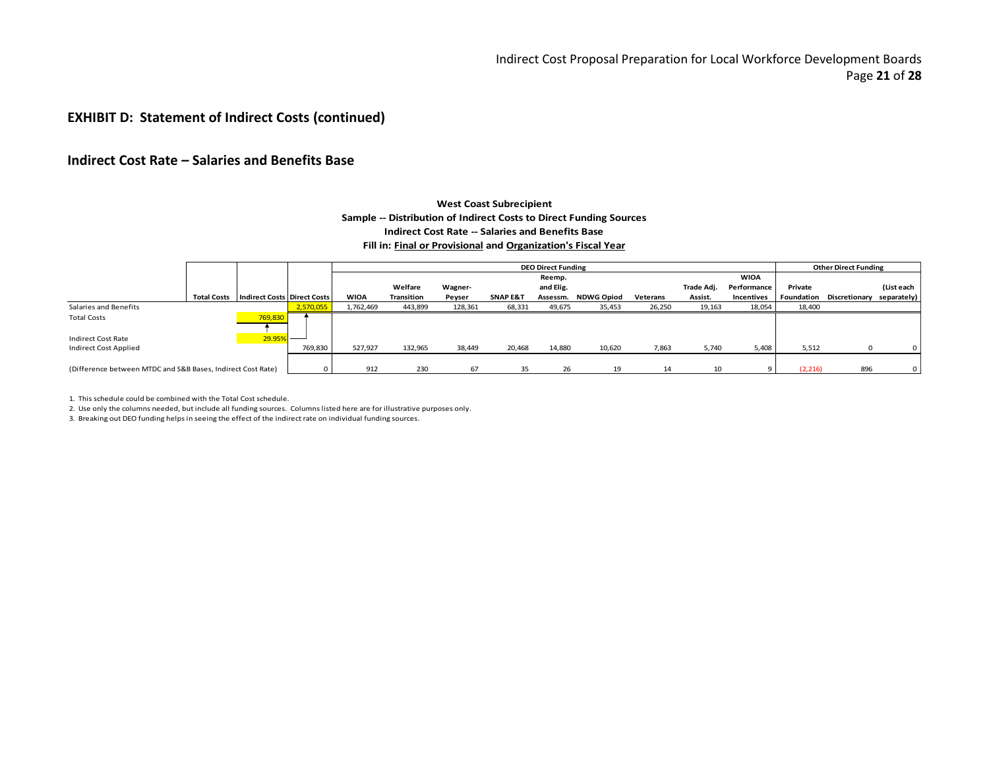## **EXHIBIT D: Statement of Indirect Costs (continued)**

## **Indirect Cost Rate – Salaries and Benefits Base**

#### **Sample -- Distribution of Indirect Costs to Direct Funding Sources Indirect Cost Rate -- Salaries and Benefits Base Fill in: Final or Provisional and Organization's Fiscal Year West Coast Subrecipient**

|                                                             |                                                    |           |             |            |         |                     | <b>DEO Direct Funding</b> |                   |          |            |             |          | <b>Other Direct Funding</b>          |            |
|-------------------------------------------------------------|----------------------------------------------------|-----------|-------------|------------|---------|---------------------|---------------------------|-------------------|----------|------------|-------------|----------|--------------------------------------|------------|
|                                                             |                                                    |           |             |            |         |                     | Reemp.                    |                   |          |            | <b>WIOA</b> |          |                                      |            |
|                                                             |                                                    |           |             | Welfare    | Wagner- |                     | and Elig.                 |                   |          | Trade Adi. | Performance | Private  |                                      | (List each |
|                                                             | <b>Total Costs</b>   Indirect Costs   Direct Costs |           | <b>WIOA</b> | Transition | Peyser  | <b>SNAP E&amp;T</b> | Assessm.                  | <b>NDWG Opiod</b> | Veterans | Assist.    | Incentives  |          | Foundation Discretionary separately) |            |
| Salaries and Benefits                                       |                                                    | 2,570,055 | 1,762,469   | 443,899    | 128,361 | 68,331              | 49,675                    | 35,453            | 26,250   | 19,163     | 18,054      | 18,400   |                                      |            |
| <b>Total Costs</b>                                          | 769,830                                            |           |             |            |         |                     |                           |                   |          |            |             |          |                                      |            |
| Indirect Cost Rate                                          | 29.95%                                             |           |             |            |         |                     |                           |                   |          |            |             |          |                                      |            |
| <b>Indirect Cost Applied</b>                                |                                                    | 769,830   | 527,927     | 132,965    | 38,449  | 20,468              | 14,880                    | 10,620            | 7,863    | 5,740      | 5,408       | 5,512    |                                      |            |
|                                                             |                                                    |           |             |            |         |                     |                           |                   |          |            |             |          |                                      |            |
| (Difference between MTDC and S&B Bases, Indirect Cost Rate) |                                                    |           | 912         | 230        | 67      | 35                  | 26                        | 19                | 14       | 10         | $\circ$     | (2, 216) | 896                                  |            |

1. This schedule could be combined with the Total Cost schedule.

2. Use only the columns needed, but include all funding sources. Columns listed here are for illustrative purposes only.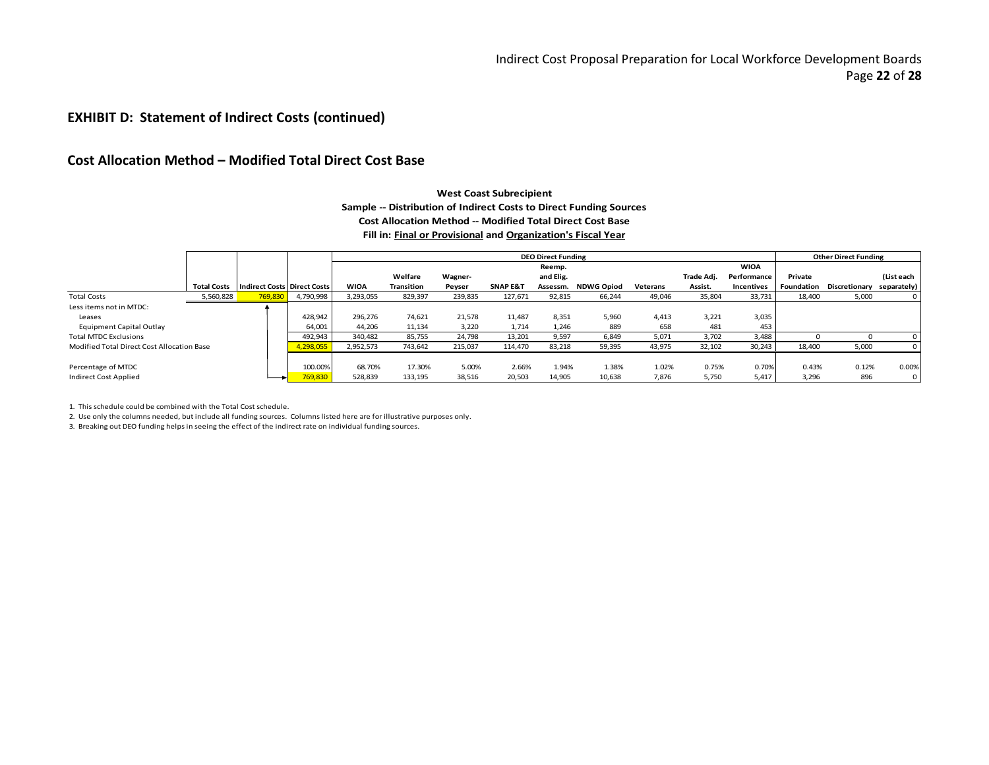## **EXHIBIT D: Statement of Indirect Costs (continued)**

## **Cost Allocation Method – Modified Total Direct Cost Base**

#### **West Coast Subrecipient Sample -- Distribution of Indirect Costs to Direct Funding Sources Cost Allocation Method -- Modified Total Direct Cost Base Fill in: Final or Provisional and Organization's Fiscal Year**

|                                            |                    |                                    |           |             |                   |         |                     | <b>DEO Direct Funding</b> |                     |          |            |             |         | <b>Other Direct Funding</b> |                |
|--------------------------------------------|--------------------|------------------------------------|-----------|-------------|-------------------|---------|---------------------|---------------------------|---------------------|----------|------------|-------------|---------|-----------------------------|----------------|
|                                            |                    |                                    |           |             |                   |         |                     | Reemp.                    |                     |          |            | <b>WIOA</b> |         |                             |                |
|                                            |                    |                                    |           |             | Welfare           | Wagner- |                     | and Elig.                 |                     |          | Trade Adj. | Performance | Private |                             | (List each     |
|                                            | <b>Total Costs</b> | <b>Indirect Costs Direct Costs</b> |           | <b>WIOA</b> | <b>Transition</b> | Peyser  | <b>SNAP E&amp;T</b> |                           | Assessm. NDWG Opiod | Veterans | Assist.    | Incentives  |         | Foundation Discretionary    | separately)    |
| <b>Total Costs</b>                         | 5,560,828          | 769,830                            | 4,790,998 | 3,293,055   | 829,397           | 239,835 | 127,671             | 92,815                    | 66,244              | 49,046   | 35,804     | 33,731      | 18,400  | 5,000                       | $\mathbf{0}$   |
| Less items not in MTDC:                    |                    |                                    |           |             |                   |         |                     |                           |                     |          |            |             |         |                             |                |
| Leases                                     |                    |                                    | 428,942   | 296,276     | 74,621            | 21,578  | 11,487              | 8,351                     | 5,960               | 4,413    | 3,221      | 3,035       |         |                             |                |
| Equipment Capital Outlay                   |                    |                                    | 64,001    | 44,206      | 11,134            | 3,220   | 1,714               | 1,246                     | 889                 | 658      | 481        | 453         |         |                             |                |
| <b>Total MTDC Exclusions</b>               |                    |                                    | 492,943   | 340.482     | 85,755            | 24,798  | 13,201              | 9,597                     | 6,849               | 5,071    | 3,702      | 3,488       |         |                             |                |
| Modified Total Direct Cost Allocation Base |                    |                                    | 1,298,055 | 2,952,573   | 743,642           | 215,037 | 114,470             | 83,218                    | 59,395              | 43,975   | 32,102     | 30,243      | 18,400  | 5,000                       |                |
|                                            |                    |                                    |           |             |                   |         |                     |                           |                     |          |            |             |         |                             |                |
| Percentage of MTDC                         |                    |                                    | 100.00%   | 68.70%      | 17.30%            | 5.00%   | 2.66%               | 1.94%                     | 1.38%               | 1.02%    | 0.75%      | 0.70%       | 0.43%   | 0.12%                       | 0.00%          |
| <b>Indirect Cost Applied</b>               |                    |                                    | 769,830   | 528,839     | 133,195           | 38,516  | 20,503              | 14,905                    | 10,638              | 7,876    | 5,750      | 5,417       | 3,296   | 896                         | $\overline{0}$ |

1. This schedule could be combined with the Total Cost schedule.

2. Use only the columns needed, but include all funding sources. Columns listed here are for illustrative purposes only.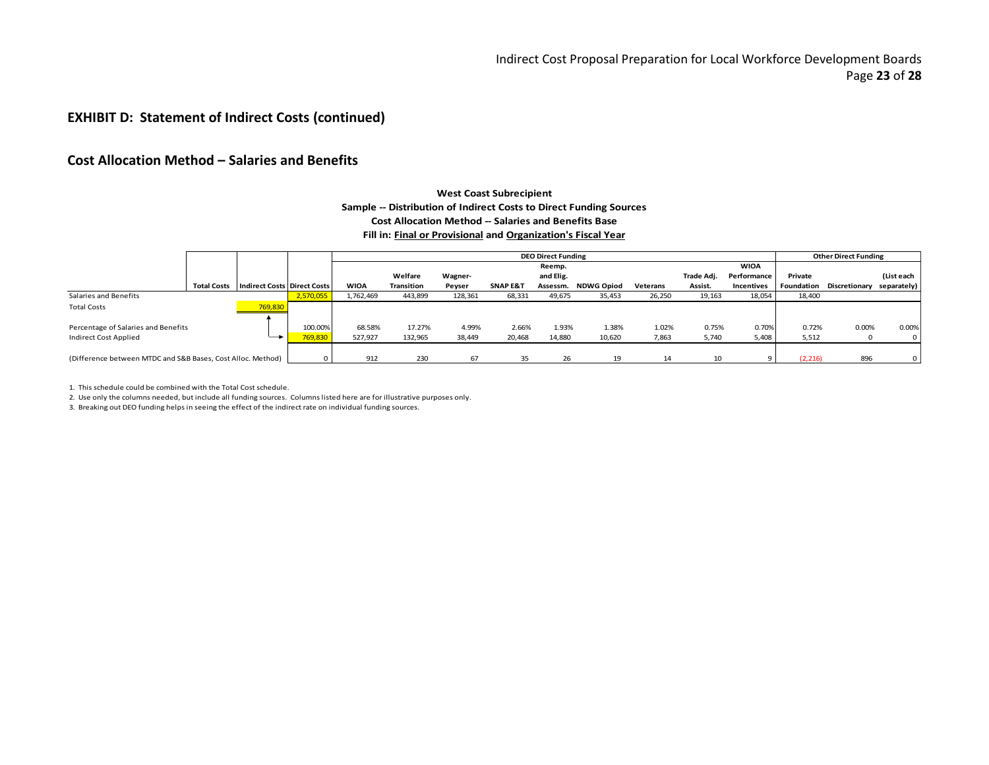## **EXHIBIT D: Statement of Indirect Costs (continued)**

## **Cost Allocation Method – Salaries and Benefits**

#### **West Coast Subrecipient Sample -- Distribution of Indirect Costs to Direct Funding Sources Cost Allocation Method -- Salaries and Benefits Base Fill in: Final or Provisional and Organization's Fiscal Year**

|                                                                     |                    |                                    |                    |                   |                   |                 |                     | <b>DEO Direct Funding</b> |                   |                |                |                |                | <b>Other Direct Funding</b>          |                         |
|---------------------------------------------------------------------|--------------------|------------------------------------|--------------------|-------------------|-------------------|-----------------|---------------------|---------------------------|-------------------|----------------|----------------|----------------|----------------|--------------------------------------|-------------------------|
|                                                                     |                    |                                    |                    |                   |                   |                 |                     | Reemp.                    |                   |                |                | <b>WIOA</b>    |                |                                      |                         |
|                                                                     |                    |                                    |                    |                   | Welfare           | Wagner-         |                     | and Elig.                 |                   |                | Trade Adj.     | Performance    | Private        |                                      | (List each              |
|                                                                     | <b>Total Costs</b> | <b>Indirect Costs Direct Costs</b> |                    | <b>WIOA</b>       | <b>Transition</b> | Peyser          | <b>SNAP E&amp;T</b> | Assessm.                  | <b>NDWG Opiod</b> | Veterans       | Assist.        | Incentives     |                | Foundation Discretionary separately) |                         |
| Salaries and Benefits                                               |                    |                                    | 2,570,055          | 1.762.469         | 443,899           | 128,361         | 68,331              | 49,675                    | 35,453            | 26,250         | 19,163         | 18,054         | 18,400         |                                      |                         |
| <b>Total Costs</b>                                                  |                    | 769,830                            |                    |                   |                   |                 |                     |                           |                   |                |                |                |                |                                      |                         |
|                                                                     |                    |                                    |                    |                   |                   |                 |                     |                           |                   |                |                |                |                |                                      |                         |
| Percentage of Salaries and Benefits<br><b>Indirect Cost Applied</b> |                    |                                    | 100.00%<br>769,830 | 68.58%<br>527,927 | 17.27%<br>132,965 | 4.99%<br>38,449 | 2.66%<br>20,468     | 1.93%<br>14,880           | 1.38%<br>10,620   | 1.02%<br>7,863 | 0.75%<br>5,740 | 0.70%<br>5,408 | 0.72%<br>5,512 | 0.00%                                | 0.00%<br>$\overline{0}$ |
|                                                                     |                    |                                    |                    |                   |                   |                 |                     |                           |                   |                |                |                |                |                                      |                         |
| (Difference between MTDC and S&B Bases, Cost Alloc. Method)         |                    |                                    | $\Omega$           | 912               | 230               | 67              | 35                  | 26                        | 19                | 14             | 10             |                | (2, 216)       | 896                                  | $\overline{0}$          |

1. This schedule could be combined with the Total Cost schedule.

2. Use only the columns needed, but include all funding sources. Columns listed here are for illustrative purposes only.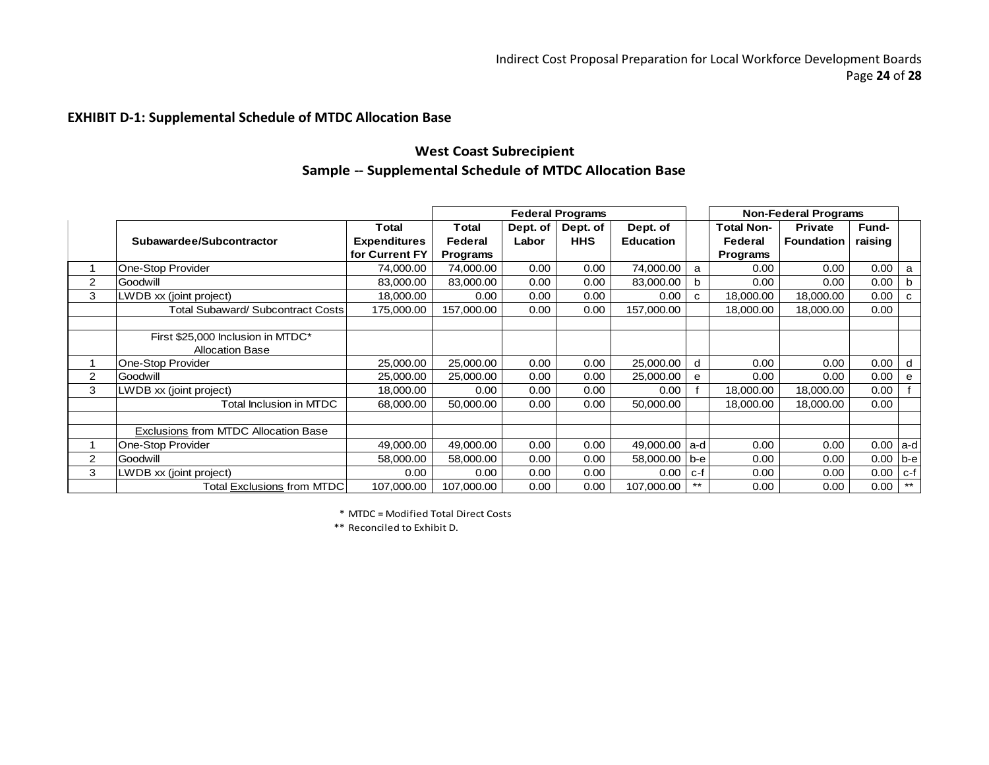# **EXHIBIT D-1: Supplemental Schedule of MTDC Allocation Base**

# **West Coast Subrecipient Sample -- Supplemental Schedule of MTDC Allocation Base**

|   |                                          |                     |                |          | <b>Federal Programs</b> |                  |     |                   | <b>Non-Federal Programs</b> |              |          |
|---|------------------------------------------|---------------------|----------------|----------|-------------------------|------------------|-----|-------------------|-----------------------------|--------------|----------|
|   |                                          | Total               | Total          | Dept. of | Dept. of                | Dept. of         |     | <b>Total Non-</b> | <b>Private</b>              | <b>Fund-</b> |          |
|   | Subawardee/Subcontractor                 | <b>Expenditures</b> | <b>Federal</b> | Labor    | <b>HHS</b>              | <b>Education</b> |     | <b>Federal</b>    | <b>Foundation</b>           | raising      |          |
|   |                                          | for Current FY      | Programs       |          |                         |                  |     | Programs          |                             |              |          |
|   | One-Stop Provider                        | 74.000.00           | 74,000.00      | 0.00     | 0.00                    | 74,000.00        | a   | 0.00              | 0.00                        | 0.00         | a        |
| 2 | Goodwill                                 | 83,000.00           | 83,000.00      | 0.00     | 0.00                    | 83,000.00        | b   | 0.00              | 0.00                        | 0.00         | b        |
| 3 | LWDB xx (joint project)                  | 18,000.00           | 0.00           | 0.00     | 0.00                    | 0.00             | C   | 18,000.00         | 18,000.00                   | 0.00         | <b>C</b> |
|   | <b>Total Subaward/ Subcontract Costs</b> | 175,000.00          | 157,000.00     | 0.00     | 0.00                    | 157,000.00       |     | 18.000.00         | 18.000.00                   | 0.00         |          |
|   |                                          |                     |                |          |                         |                  |     |                   |                             |              |          |
|   | First \$25,000 Inclusion in MTDC*        |                     |                |          |                         |                  |     |                   |                             |              |          |
|   | <b>Allocation Base</b>                   |                     |                |          |                         |                  |     |                   |                             |              |          |
|   | One-Stop Provider                        | 25,000.00           | 25,000.00      | 0.00     | 0.00                    | 25,000.00        | d   | 0.00              | 0.00                        | 0.00         | d        |
| 2 | Goodwill                                 | 25.000.00           | 25,000.00      | 0.00     | 0.00                    | 25,000.00        | e   | 0.00              | 0.00                        | 0.00         | e        |
| 3 | LWDB xx (joint project)                  | 18,000.00           | 0.00           | 0.00     | 0.00                    | 0.00             |     | 18,000.00         | 18,000.00                   | 0.00         |          |
|   | Total Inclusion in MTDC                  | 68,000.00           | 50,000.00      | 0.00     | 0.00                    | 50,000.00        |     | 18,000.00         | 18,000.00                   | 0.00         |          |
|   |                                          |                     |                |          |                         |                  |     |                   |                             |              |          |
|   | Exclusions from MTDC Allocation Base     |                     |                |          |                         |                  |     |                   |                             |              |          |
|   | One-Stop Provider                        | 49,000.00           | 49,000.00      | 0.00     | 0.00                    | 49,000.00        | a-d | 0.00              | 0.00                        | 0.00         | a-d      |
| 2 | Goodwill                                 | 58,000.00           | 58,000.00      | 0.00     | 0.00                    | 58,000.00        | b-e | 0.00              | 0.00                        | 0.00         | $b-e$    |
| 3 | LWDB xx (joint project)                  | 0.00                | 0.00           | 0.00     | 0.00                    | 0.00             | c-f | 0.00              | 0.00                        | 0.00         | c-f      |
|   | <b>Total Exclusions from MTDC</b>        | 107,000.00          | 107,000.00     | 0.00     | 0.00                    | 107,000.00       | **  | 0.00              | 0.00                        | 0.00         | **       |

\* MTDC = Modified Total Direct Costs

\*\* Reconciled to Exhibit D.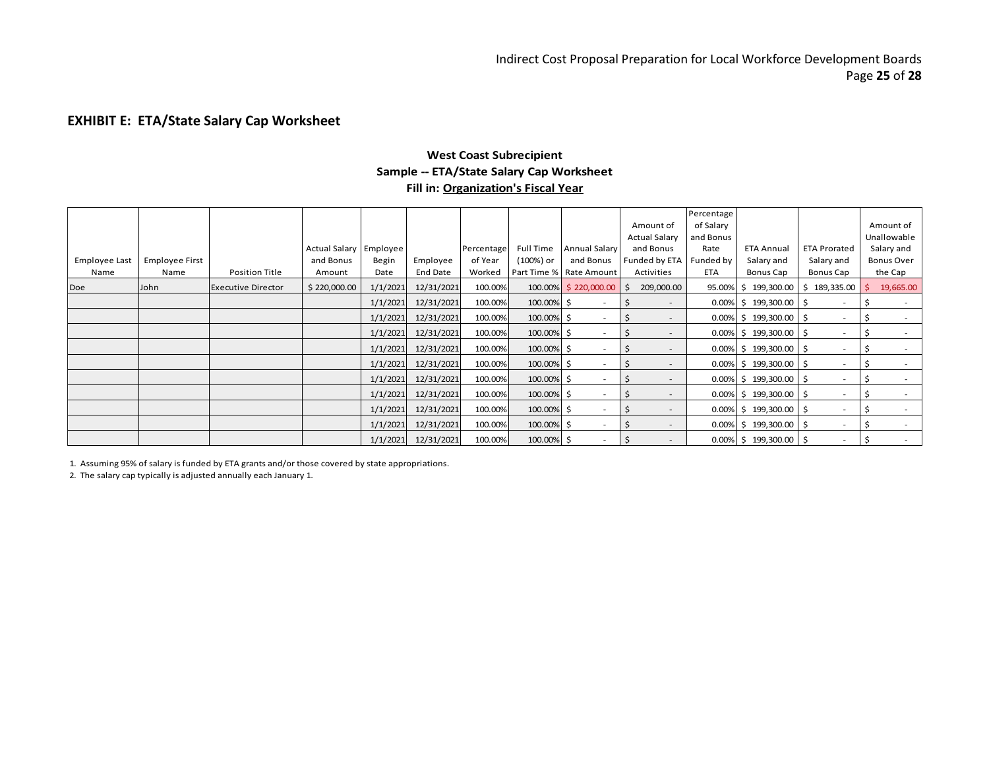# **EXHIBIT E: ETA/State Salary Cap Worksheet**

## **West Coast Subrecipient Sample -- ETA/State Salary Cap Worksheet Fill in: Organization's Fiscal Year**

|               |                       |                           |                        |          |                 |            |            |                          |                          | Percentage |                           |                          |                   |
|---------------|-----------------------|---------------------------|------------------------|----------|-----------------|------------|------------|--------------------------|--------------------------|------------|---------------------------|--------------------------|-------------------|
|               |                       |                           |                        |          |                 |            |            |                          | Amount of                | of Salary  |                           |                          | Amount of         |
|               |                       |                           |                        |          |                 |            |            |                          | <b>Actual Salary</b>     | and Bonus  |                           |                          | Unallowable       |
|               |                       |                           | Actual Salary Employee |          |                 | Percentage | Full Time  | <b>Annual Salary</b>     | and Bonus                | Rate       | <b>ETA Annual</b>         | <b>ETA Prorated</b>      | Salary and        |
| Employee Last | <b>Employee First</b> |                           | and Bonus              | Begin    | Employee        | of Year    | (100%) or  | and Bonus                | Funded by ETA            | Funded by  | Salary and                | Salary and               | <b>Bonus Over</b> |
| Name          | Name                  | Position Title            | Amount                 | Date     | <b>End Date</b> | Worked     |            | Part Time % Rate Amount  | Activities               | <b>ETA</b> | Bonus Cap                 | Bonus Cap                | the Cap           |
| Doe           | John                  | <b>Executive Director</b> | \$220,000.00           | 1/1/2021 | 12/31/2021      | 100.00%    |            | 100.00% \$220,000.00     | 209,000.00               |            | 95.00% \$199,300.00       | \$189,335.00             | 19,665.00         |
|               |                       |                           |                        | 1/1/2021 | 12/31/2021      | 100.00%    | 100.00% \$ | $\overline{\phantom{a}}$ |                          |            | $0.00\%$ \$ 199,300.00 \$ | $\sim$                   |                   |
|               |                       |                           |                        | 1/1/2021 | 12/31/2021      | 100.00%    | 100.00% \$ |                          |                          |            | $0.00\%$ \$ 199,300.00 \$ | $\overline{\phantom{a}}$ |                   |
|               |                       |                           |                        | 1/1/2021 | 12/31/2021      | 100.00%    | 100.00% \$ |                          |                          |            | $0.00\%$ \$ 199,300.00 \$ |                          |                   |
|               |                       |                           |                        | 1/1/2021 | 12/31/2021      | 100.00%    | 100.00% \$ |                          |                          |            | $0.00\%$ \$ 199,300.00 \$ | $\overline{\phantom{a}}$ |                   |
|               |                       |                           |                        | 1/1/2021 | 12/31/2021      | 100.00%    | 100.00% \$ |                          | $\overline{\phantom{a}}$ |            | $0.00\%$ \$ 199,300.00 \$ | $\overline{\phantom{a}}$ |                   |
|               |                       |                           |                        | 1/1/2021 | 12/31/2021      | 100.00%    | 100.00% \$ |                          |                          |            | $0.00\%$ \$ 199,300.00 \$ | $\overline{\phantom{a}}$ |                   |
|               |                       |                           |                        | 1/1/2021 | 12/31/2021      | 100.00%    | 100.00% \$ |                          |                          |            | $0.00\%$ \$ 199,300.00 \$ | $\overline{\phantom{a}}$ |                   |
|               |                       |                           |                        | 1/1/2021 | 12/31/2021      | 100.00%    | 100.00% \$ |                          |                          |            | $0.00\%$ \$ 199,300.00 \$ |                          |                   |
|               |                       |                           |                        | 1/1/2021 | 12/31/2021      | 100.00%    | 100.00% \$ |                          |                          |            | $0.00\%$ \$ 199,300.00 \$ | $\overline{\phantom{a}}$ |                   |
|               |                       |                           |                        | 1/1/2021 | 12/31/2021      | 100.00%    | 100.00% \$ | $\overline{\phantom{a}}$ |                          |            | $0.00\%$ \$ 199,300.00 \$ | $\sim$                   |                   |

1. Assuming 95% of salary is funded by ETA grants and/or those covered by state appropriations.

2. The salary cap typically is adjusted annually each January 1.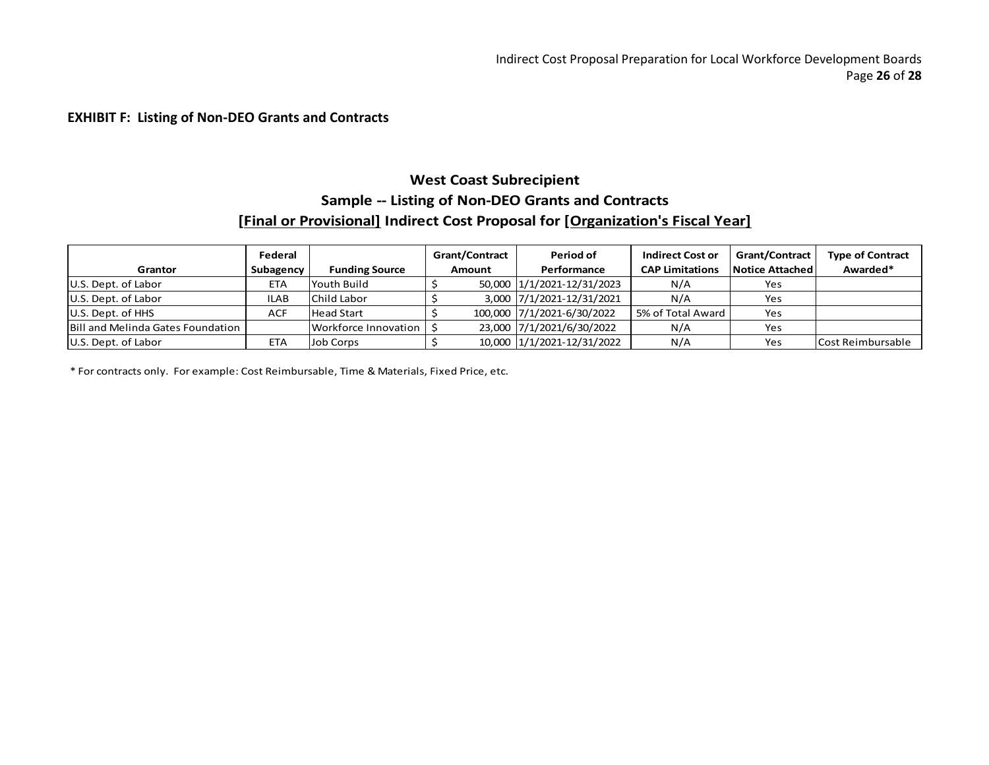## **EXHIBIT F: Listing of Non-DEO Grants and Contracts**

# **West Coast Subrecipient Sample -- Listing of Non-DEO Grants and Contracts [Final or Provisional] Indirect Cost Proposal for [Organization's Fiscal Year]**

|                                          | Federal    |                       | <b>Grant/Contract</b> | Period of                  | <b>Indirect Cost or</b> | <b>Grant/Contract</b>  | <b>Type of Contract</b> |
|------------------------------------------|------------|-----------------------|-----------------------|----------------------------|-------------------------|------------------------|-------------------------|
| Grantor                                  | Subagency  | <b>Funding Source</b> | <b>Amount</b>         | Performance                | <b>CAP Limitations</b>  | <b>Notice Attached</b> | Awarded*                |
| U.S. Dept. of Labor                      | ETA        | Youth Build           |                       | 50,000 1/1/2021-12/31/2023 | N/A                     | Yes                    |                         |
| U.S. Dept. of Labor                      | ILAB       | Child Labor           |                       | 3,000 7/1/2021-12/31/2021  | N/A                     | Yes                    |                         |
| U.S. Dept. of HHS                        | <b>ACF</b> | <b>Head Start</b>     |                       | 100,000 7/1/2021-6/30/2022 | 5% of Total Award       | Yes                    |                         |
| <b>Bill and Melinda Gates Foundation</b> |            | Workforce Innovation  |                       | 23,000 7/1/2021/6/30/2022  | N/A                     | Yes                    |                         |
| U.S. Dept. of Labor                      | ETA        | Job Corps             |                       | 10,000 1/1/2021-12/31/2022 | N/A                     | Yes                    | Cost Reimbursable       |

\* For contracts only. For example: Cost Reimbursable, Time & Materials, Fixed Price, etc.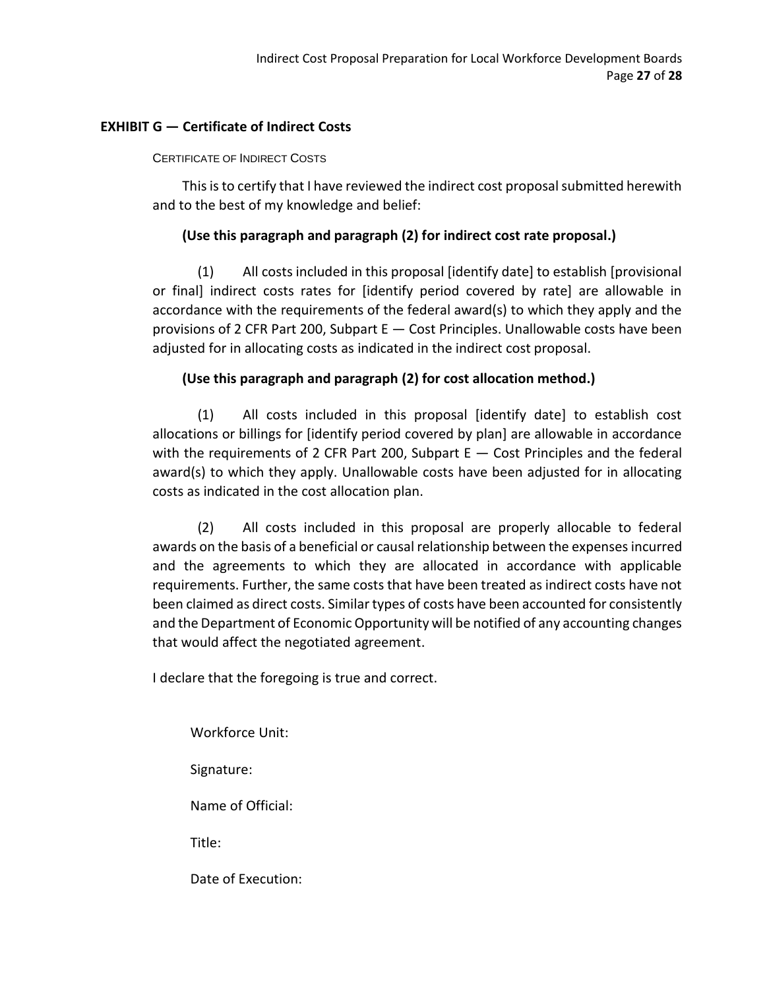# **EXHIBIT G — Certificate of Indirect Costs**

# CERTIFICATE OF INDIRECT COSTS

This is to certify that I have reviewed the indirect cost proposal submitted herewith and to the best of my knowledge and belief:

# **(Use this paragraph and paragraph (2) for indirect cost rate proposal.)**

(1) All costs included in this proposal [identify date] to establish [provisional or final] indirect costs rates for [identify period covered by rate] are allowable in accordance with the requirements of the federal award(s) to which they apply and the provisions of 2 CFR Part 200, Subpart E — Cost Principles. Unallowable costs have been adjusted for in allocating costs as indicated in the indirect cost proposal.

# **(Use this paragraph and paragraph (2) for cost allocation method.)**

(1) All costs included in this proposal [identify date] to establish cost allocations or billings for [identify period covered by plan] are allowable in accordance with the requirements of 2 CFR Part 200, Subpart  $E - Cost$  Principles and the federal award(s) to which they apply. Unallowable costs have been adjusted for in allocating costs as indicated in the cost allocation plan.

(2) All costs included in this proposal are properly allocable to federal awards on the basis of a beneficial or causal relationship between the expensesincurred and the agreements to which they are allocated in accordance with applicable requirements. Further, the same costs that have been treated as indirect costs have not been claimed as direct costs. Similar types of costs have been accounted for consistently and the Department of Economic Opportunity will be notified of any accounting changes that would affect the negotiated agreement.

I declare that the foregoing is true and correct.

Workforce Unit:

Signature:

Name of Official:

Title:

Date of Execution: